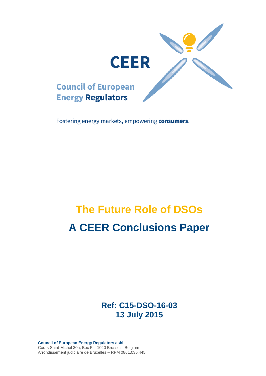

Fostering energy markets, empowering consumers.

# **The Future Role of DSOs A CEER Conclusions Paper**

**Ref: C15-DSO-16-03 13 July 2015**

**Council of European Energy Regulators asbl** Cours Saint-Michel 30a, Box F – 1040 Brussels, Belgium Arrondissement judiciaire de Bruxelles – RPM 0861.035.445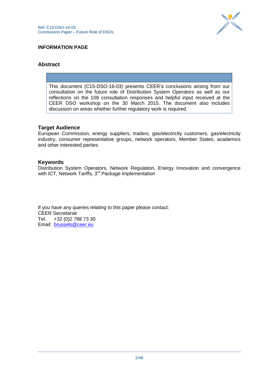

## **INFORMATION PAGE**

## **Abstract**

This document (C15-DSO-16-03) presents CEER"s conclusions arising from our consultation on the future role of Distribution System Operators as well as our reflections on the 108 consultation responses and helpful input received at the CEER DSO workshop on the 30 March 2015. The document also includes discussion on areas whether further regulatory work is required.

## **Target Audience**

European Commission, energy suppliers, traders, gas/electricity customers, gas/electricity industry, consumer representative groups, network operators, Member States, academics and other interested parties.

#### **Keywords**

Distribution System Operators, Network Regulation, Energy Innovation and convergence with ICT, Network Tariffs, 3<sup>rd</sup> Package implementation

If you have any queries relating to this paper please contact: CEER Secretariat Tel. +32 (0)2 788 73 30 Email: [brussels@ceer.eu](mailto:brussels@ceer.eu)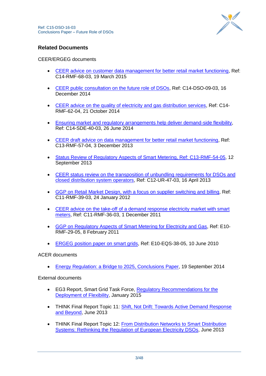

## **Related Documents**

## CEER/ERGEG documents

- [CEER advice on customer data management for better retail market functioning,](http://www.ceer.eu/portal/page/portal/EER_HOME/EER_PUBLICATIONS/CEER_PAPERS/Customers/Tab5/C14-RMF-68-03_Advice%20on%20Customer%20Data%20Management_19032015.pdf) Ref: C14-RMF-68-03, 19 March 2015
- [CEER public consultation on the future role of DSOs,](http://www.ceer.eu/portal/page/portal/EER_HOME/EER_CONSULT/CLOSED%20PUBLIC%20CONSULTATIONS/CROSSSECTORAL/PC_The_Future_Role_of_DSOs/CD/C14-DSO-09-03_Future%20Role%20of%20the%20DSO%20-%2016%20December%202014.pdf) Ref: C14-DSO-09-03, 16 December 2014
- [CEER advice on the quality of electricity and gas distribution services,](http://www.ceer.eu/portal/page/portal/EER_HOME/EER_PUBLICATIONS/CEER_PAPERS/Customers/Tab4/C14-RMF-62-04%20Advice%20on%20the%20quality%20of%20electricity%20and%20gas%20distribution%20-%2016%20Sept%202014.pdf) Ref: C14- RMF-62-04, 21 October 2014
- [Ensuring market and regulatory arrangements help deliver demand-side flexibility,](http://www.ceer.eu/portal/page/portal/EER_HOME/EER_PUBLICATIONS/CEER_PAPERS/Electricity/Tab3/C14-SDE-40-03_CEER%20Advice%20on%20Demand-Side%20Flexibility_26-June-2014.pdf) Ref: C14-SDE-40-03, 26 June 2014
- [CEER draft advice on data management for better retail market functioning,](http://www.ceer.eu/portal/page/portal/EER_HOME/EER_CONSULT/CLOSED%20PUBLIC%20CONSULTATIONS/CUSTOMERS/Quality_of_DSO_services/CD/C13-RMF-57-03%20-%20Quality%20of%20distribution%20services%20-%20FINAL.pdf) Ref: C13-RMF-57-04, 3 December 2013
- [Status Review of Regulatory Aspects of Smart Metering, Ref: C13-RMF-54-05,](http://www.ceer.eu/portal/page/portal/EER_HOME/EER_PUBLICATIONS/CEER_PAPERS/Customers/2013/7-1_C13-RMF-54-05-Status_Review_of_Regulatory_Aspects_of_Smart_Metering_FOR_PUBLICATION.pdf) 12 September 2013
- [CEER status review on the transposition of unbundling requirements for DSOs and](http://www.ceer.eu/portal/page/portal/EER_HOME/EER_PUBLICATIONS/CEER_PAPERS/Cross-Sectoral/Tab/C12-UR-47-03_DSO-Unbundling_Status%20Review_Public.pdf)  [closed distribution system operators,](http://www.ceer.eu/portal/page/portal/EER_HOME/EER_PUBLICATIONS/CEER_PAPERS/Cross-Sectoral/Tab/C12-UR-47-03_DSO-Unbundling_Status%20Review_Public.pdf) Ref: C12-UR-47-03, 16 April 2013
- [GGP on Retail Market Design, with a focus on supplier switching and billing,](http://www.ceer.eu/portal/page/portal/EER_HOME/EER_PUBLICATIONS/CEER_PAPERS/Customers/Tab3/C11-RMF-39-03_GGP-Retail-Market-Design_24-Jan-2012.pdf) Ref: C11-RMF-39-03, 24 January 2012
- [CEER advice on the take-off of a demand response electricity market with smart](http://www.ceer.eu/portal/page/portal/EER_HOME/EER_PUBLICATIONS/CEER_PAPERS/Customers/Tab2/C11-RMF-36-03_DemandResponse-with-SM_1-Dec-2011.pdf)  [meters,](http://www.ceer.eu/portal/page/portal/EER_HOME/EER_PUBLICATIONS/CEER_PAPERS/Customers/Tab2/C11-RMF-36-03_DemandResponse-with-SM_1-Dec-2011.pdf) Ref: C11-RMF-36-03, 1 December 2011
- [GGP on Regulatory Aspects of Smart Metering for Electricity and Gas,](http://www.ceer.eu/portal/page/portal/EER_HOME/EER_PUBLICATIONS/CEER_PAPERS/Customers/Tab2/E10-RMF-29-05_GGP_SM_8-Feb-2011.pdf) Ref: E10- RMF-29-05, 8 February 2011
- [ERGEG position paper on smart grids,](http://www.energy-regulators.eu/portal/page/portal/EER_HOME/EER_PUBLICATIONS/CEER_PAPERS/Electricity/2010/E10-EQS-38-05_SmartGrids_Conclusions_10-Jun-2010_Corrigendum.pdf) Ref: E10-EQS-38-05, 10 June 2010

ACER documents

[Energy Regulation: a Bridge to 2025, Conclusions Paper,](http://www.acer.europa.eu/Official_documents/Acts_of_the_Agency/SD052005/Supporting%20document%20to%20ACER%20Recommendation%2005-2014%20-%20%20Energy%20Regulation%20A%20Bridge%20to%202025%20Conclusions%20Paper.pdf) 19 September 2014

External documents

- EG3 Report, Smart Grid Task Force, [Regulatory Recommendations for the](https://ec.europa.eu/energy/sites/ener/files/documents/EG3%20Final%20-%20January%202015.pdf)  [Deployment of Flexibility,](https://ec.europa.eu/energy/sites/ener/files/documents/EG3%20Final%20-%20January%202015.pdf) January 2015
- THINK Final Report Topic 11: Shift, Not Drift: Towards Active Demand Response [and Beyond,](http://www.eui.eu/Projects/THINK/Documents/Thinktopic/Topic11digital.pdf) June 2013
- THINK Final Report Topic 12: [From Distribution Networks to Smart Distribution](http://www.eui.eu/Projects/THINK/Documents/Thinktopic/Topic12digital.pdf)  [Systems: Rethinking the Regulation of European Electricity DSOs,](http://www.eui.eu/Projects/THINK/Documents/Thinktopic/Topic12digital.pdf) June 2013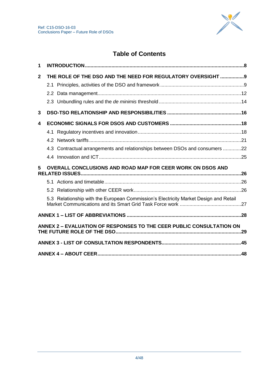

# **Table of Contents**

| 1            |                                                                                      |  |
|--------------|--------------------------------------------------------------------------------------|--|
| $\mathbf{2}$ | THE ROLE OF THE DSO AND THE NEED FOR REGULATORY OVERSIGHT  9                         |  |
|              |                                                                                      |  |
|              |                                                                                      |  |
|              |                                                                                      |  |
| 3            |                                                                                      |  |
| 4            |                                                                                      |  |
|              |                                                                                      |  |
|              |                                                                                      |  |
|              | 4.3 Contractual arrangements and relationships between DSOs and consumers 22         |  |
|              |                                                                                      |  |
| 5            | OVERALL CONCLUSIONS AND ROAD MAP FOR CEER WORK ON DSOS AND                           |  |
|              |                                                                                      |  |
|              |                                                                                      |  |
|              | 5.3 Relationship with the European Commission's Electricity Market Design and Retail |  |
|              |                                                                                      |  |
|              | ANNEX 2 - EVALUATION OF RESPONSES TO THE CEER PUBLIC CONSULTATION ON                 |  |
|              |                                                                                      |  |
|              |                                                                                      |  |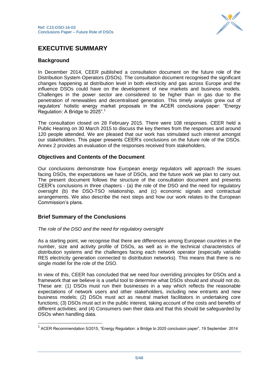

# **EXECUTIVE SUMMARY**

## **Background**

In December 2014, CEER published a consultation document on the future role of the Distribution System Operators (DSOs). The consultation document recognised the significant changes happening at distribution level in both electricity and gas across Europe and the influence DSOs could have on the development of new markets and business models. Challenges in the power sector are considered to be higher than in gas due to the penetration of renewables and decentralised generation. This timely analysis grew out of regulators" holistic energy market proposals in the ACER conclusions paper: "Energy Regulation: A Bridge to 2025".<sup>1</sup>

The consultation closed on 28 February 2015. There were 108 responses. CEER held a Public Hearing on 30 March 2015 to discuss the key themes from the responses and around 120 people attended. We are pleased that our work has stimulated such interest amongst our stakeholders. This paper presents CEER"s conclusions on the future role of the DSOs. Annex 2 provides an evaluation of the responses received from stakeholders.

## **Objectives and Contents of the Document**

Our conclusions demonstrate how European energy regulators will approach the issues facing DSOs, the expectations we have of DSOs, and the future work we plan to carry out. The present document follows the structure of the consultation document and presents CEER"s conclusions in three chapters - (a) the role of the DSO and the need for regulatory oversight (b) the DSO-TSO relationship, and (c) economic signals and contractual arrangements. We also describe the next steps and how our work relates to the European Commission"s plans.

## **Brief Summary of the Conclusions**

1

## *The role of the DSO and the need for regulatory oversight*

As a starting point, we recognise that there are differences among European countries in the number, size and activity profile of DSOs, as well as in the technical characteristics of distribution systems and the challenges facing each network operator (especially variable RES electricity generation connected to distribution networks). This means that there is no single model for the role of the DSO.

In view of this, CEER has concluded that we need four overriding principles for DSOs and a framework that we believe is a useful tool to determine what DSOs should and should not do. These are: (1) DSOs must run their businesses in a way which reflects the reasonable expectations of network users and other stakeholders, including new entrants and new business models; (2) DSOs must act as neutral market facilitators in undertaking core functions; (3) DSOs must act in the public interest, taking account of the costs and benefits of different activities; and (4) Consumers own their data and that this should be safeguarded by DSOs when handling data.

<sup>&</sup>lt;sup>1</sup> ACER Recommendation 5/2015, "Energy Regulation: a Bridge to 2025 conclusion paper", 19 September 2014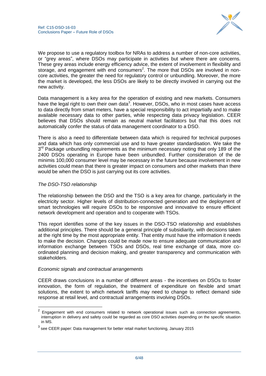

We propose to use a regulatory toolbox for NRAs to address a number of non-core activities, or "grey areas", where DSOs may participate in activities but where there are concerns. These grey areas include energy efficiency advice, the extent of involvement in flexibility and storage, and engagement with end consumers<sup>2</sup>. The more that DSOs are involved in noncore activities, the greater the need for regulatory control or unbundling. Moreover, the more the market is developed, the less DSOs are likely to be directly involved in carrying out the new activity.

Data management is a key area for the operation of existing and new markets. Consumers have the legal right to own their own data<sup>3</sup>. However, DSOs, who in most cases have access to data directly from smart meters, have a special responsibility to act impartially and to make available necessary data to other parties, while respecting data privacy legislation. CEER believes that DSOs should remain as neutral market facilitators but that this does not automatically confer the status of data management coordinator to a DSO.

There is also a need to differentiate between data which is required for technical purposes and data which has only commercial use and to have greater standardisation. We take the 3<sup>rd</sup> Package unbundling requirements as the minimum necessary noting that only 189 of the 2400 DSOs operating in Europe have been unbundled. Further consideration of the de minimis 100,000 consumer level may be necessary in the future because involvement in new activities could mean that there is greater impact on consumers and other markets than there would be when the DSO is just carrying out its core activities.

## *The DSO-TSO relationship*

The relationship between the DSO and the TSO is a key area for change, particularly in the electricity sector. Higher levels of distribution-connected generation and the deployment of smart technologies will require DSOs to be responsive and innovative to ensure efficient network development and operation and to cooperate with TSOs.

This report identifies some of the key issues in the DSO-TSO relationship and establishes additional principles. There should be a general principle of subsidiarity, with decisions taken at the right time by the most appropriate entity. That entity must have the information it needs to make the decision. Changes could be made now to ensure adequate communication and information exchange between TSOs and DSOs, real time exchange of data, more coordinated planning and decision making, and greater transparency and communication with stakeholders.

## *Economic signals and contractual arrangements*

CEER draws conclusions in a number of different areas - the incentives on DSOs to foster innovation, the form of regulation, the treatment of expenditure on flexible and smart solutions, the extent to which network tariffs may need to change to reflect demand side response at retail level, and contractual arrangements involving DSOs.

 2 Engagement with end consumers related to network operational issues such as connection agreements, interruption in delivery and safety could be regarded as core DSO activities depending on the specific situation in MS.

 $^3$  see CEER paper: Data management for better retail market functioning, January 2015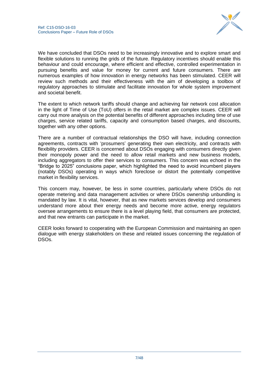

We have concluded that DSOs need to be increasingly innovative and to explore smart and flexible solutions to running the grids of the future. Regulatory incentives should enable this behaviour and could encourage, where efficient and effective, controlled experimentation in pursuing benefits and value for money for current and future consumers. There are numerous examples of how innovation in energy networks has been stimulated. CEER will review such methods and their effectiveness with the aim of developing a toolbox of regulatory approaches to stimulate and facilitate innovation for whole system improvement and societal benefit.

The extent to which network tariffs should change and achieving fair network cost allocation in the light of Time of Use (ToU) offers in the retail market are complex issues. CEER will carry out more analysis on the potential benefits of different approaches including time of use charges, service related tariffs, capacity and consumption based charges, and discounts, together with any other options.

There are a number of contractual relationships the DSO will have, including connection agreements, contracts with "prosumers" generating their own electricity, and contracts with flexibility providers. CEER is concerned about DSOs engaging with consumers directly given their monopoly power and the need to allow retail markets and new business models, including aggregators to offer their services to consumers. This concern was echoed in the "Bridge to 2025" conclusions paper, which highlighted the need to avoid incumbent players (notably DSOs) operating in ways which foreclose or distort the potentially competitive market in flexibility services.

This concern may, however, be less in some countries, particularly where DSOs do not operate metering and data management activities or where DSOs ownership unbundling is mandated by law. It is vital, however, that as new markets services develop and consumers understand more about their energy needs and become more active, energy regulators oversee arrangements to ensure there is a level playing field, that consumers are protected, and that new entrants can participate in the market.

<span id="page-6-0"></span>CEER looks forward to cooperating with the European Commission and maintaining an open dialogue with energy stakeholders on these and related issues concerning the regulation of DSOs.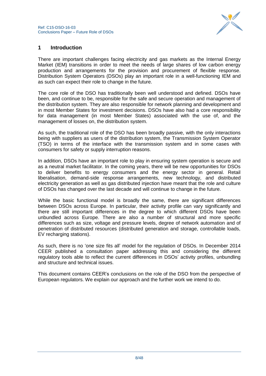

## **1 Introduction**

There are important challenges facing electricity and gas markets as the Internal Energy Market (IEM) transitions in order to meet the needs of large shares of low carbon energy production and arrangements for the provision and procurement of flexible response. Distribution System Operators (DSOs) play an important role in a well-functioning IEM and as such can expect their role to change in the future.

The core role of the DSO has traditionally been well understood and defined. DSOs have been, and continue to be, responsible for the safe and secure operation and management of the distribution system. They are also responsible for network planning and development and in most Member States for investment decisions. DSOs have also had a core responsibility for data management (in most Member States) associated with the use of, and the management of losses on, the distribution system.

As such, the traditional role of the DSO has been broadly passive, with the only interactions being with suppliers as users of the distribution system, the Transmission System Operator (TSO) in terms of the interface with the transmission system and in some cases with consumers for safety or supply interruption reasons.

In addition, DSOs have an important role to play in ensuring system operation is secure and as a neutral market facilitator. In the coming years, there will be new opportunities for DSOs to deliver benefits to energy consumers and the energy sector in general. Retail liberalisation, demand-side response arrangements, new technology, and distributed electricity generation as well as gas distributed injection have meant that the role and culture of DSOs has changed over the last decade and will continue to change in the future.

While the basic functional model is broadly the same, there are significant differences between DSOs across Europe. In particular, their activity profile can vary significantly and there are still important differences in the degree to which different DSOs have been unbundled across Europe. There are also a number of structural and more specific differences such as size, voltage and pressure levels, degree of network automation and of penetration of distributed resources (distributed generation and storage, controllable loads, EV recharging stations).

As such, there is no "one size fits all" model for the regulation of DSOs. In December 2014 CEER published a consultation paper addressing this and considering the different regulatory tools able to reflect the current differences in DSOs" activity profiles, unbundling and structure and technical issues.

<span id="page-7-0"></span>This document contains CEER"s conclusions on the role of the DSO from the perspective of European regulators. We explain our approach and the further work we intend to do.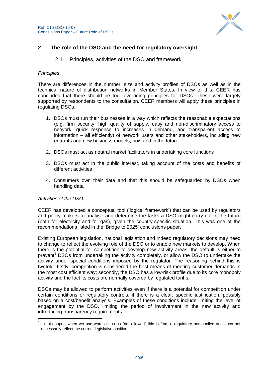

## <span id="page-8-0"></span>**2 The role of the DSO and the need for regulatory oversight**

## 2.1 Principles, activities of the DSO and framework

#### *Principles*

There are differences in the number, size and activity profiles of DSOs as well as in the technical nature of distribution networks in Member States. In view of this, CEER has concluded that there should be four overriding principles for DSOs. These were largely supported by respondents to the consultation. CEER members will apply these principles in regulating DSOs:

- 1. DSOs must run their businesses in a way which reflects the reasonable expectations (e.g. firm security, high quality of supply, easy and non-discriminatory access to network, quick response to increases in demand, and transparent access to information – all efficiently) of network users and other stakeholders, including new entrants and new business models, now and in the future
- 2. DSOs must act as neutral market facilitators in undertaking core functions
- 3. DSOs must act in the public interest, taking account of the costs and benefits of different activities
- 4. Consumers own their data and that this should be safeguarded by DSOs when handling data

## *Activities of the DSO*

CEER has developed a conceptual tool ("logical framework") that can be used by regulators and policy makers to analyse and determine the tasks a DSO might carry out in the future (both for electricity and for gas), given the country-specific situation. This was one of the recommendations listed in the "Bridge to 2025" conclusions paper.

Existing European legislation, national legislation and indeed regulatory decisions may need to change to reflect the evolving role of the DSO or to enable new markets to develop. When there is the potential for competition to develop new activity areas, the default is either to prevent<sup>4</sup> DSOs from undertaking the activity completely, or allow the DSO to undertake the activity under special conditions imposed by the regulator. The reasoning behind this is twofold: firstly, competition is considered the best means of meeting customer demands in the most cost efficient way; secondly, the DSO has a low-risk profile due to its core monopoly activity and the fact its costs are normally covered by regulated tariffs.

DSOs may be allowed to perform activities even if there is a potential for competition under certain conditions or regulatory controls, if there is a clear, specific justification, possibly based on a cost/benefit analysis. Examples of these conditions include limiting the level of engagement by the DSO, limiting the period of involvement in the new activity and introducing transparency requirements.

<sup>————————————————————&</sup>lt;br><sup>4</sup> In this paper, when we use words such as "not allowed" this is from a regulatory perspective and does not necessarily reflect the current legislative position.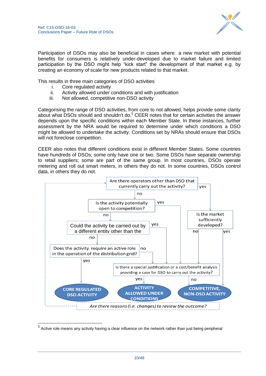

Participation of DSOs may also be beneficial in cases where a new market with potential benefits for consumers is relatively under-developed due to market failure and limited participation by the DSO might help "kick start" the development of that market e.g. by creating an economy of scale for new products related to that market.

This results in three main categories of DSO activities:

i. Core regulated activity

1

- ii. Activity allowed under conditions and with justification
- iii. Not allowed, competitive non-DSO activity

Categorising the range of DSO activities, from core to not allowed, helps provide some clarity about what DSOs should and shouldn't do.<sup>5</sup> CEER notes that for certain activities the answer depends upon the specific conditions within each Member State. In these instances, further assessment by the NRA would be required to determine under which conditions a DSO might be allowed to undertake the activity. Conditions set by NRAs should ensure that DSOs will not foreclose competition.

CEER also notes that different conditions exist in different Member States. Some countries have hundreds of DSOs; some only have one or two. Some DSOs have separate ownership to retail suppliers; some are part of the same group. In most countries, DSOs operate metering and roll out smart meters, in others they do not. In some countries, DSOs control data, in others they do not.



<sup>&</sup>lt;sup>5</sup> Active role means any activity having a clear influence on the network rather than just being peripheral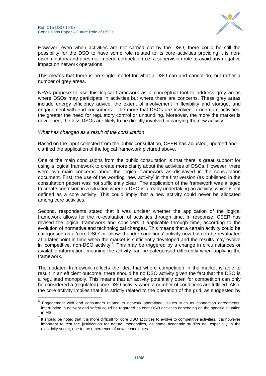

However, even when activities are not carried out by the DSO, there could be still the possibility for the DSO to have some role related to its core activities providing it is nondiscriminatory and does not impede competition i.e. a supervision role to avoid any negative impact on network operations.

This means that there is no single model for what a DSO can and cannot do, but rather a number of grey areas.

NRAs propose to use this logical framework as a conceptual tool to address grey areas where DSOs may participate in activities but where there are concerns. These grey areas include energy efficiency advice, the extent of involvement in flexibility and storage, and engagement with end consumers<sup>6</sup>. The more that DSOs are involved in non-core activities, the greater the need for regulatory control or unbundling. Moreover, the more the market is developed, the less DSOs are likely to be directly involved in carrying the new activity.

#### *What has changed as a result of the consultation*

1

Based on the input collected from the public consultation, CEER has adjusted, updated and clarified the application of the logical framework pictured above.

One of the main conclusions from the public consultation is that there is great support for using a logical framework to create more clarity about the activities of DSOs. However, there were two main concerns about the logical framework as displayed in the consultation document. First, the use of the wording "new activity" in the first version (as published in the consultation paper) was not sufficiently clear. The application of the framework was alleged to create confusion in a situation where a DSO is already undertaking an activity, which is not defined as a core activity. This could imply that a new activity could never be allocated among core activities.

Second, respondents stated that it was unclear whether the application of the logical framework allows for the re-evaluation of activities through time. In response, CEER has revised the logical framework and considers it applicable through time, according to the evolution of normative and technological changes. This means that a certain activity could be categorised as a "core DSO" or "allowed under conditions" activity now but can be revaluated at a later point in time when the market is sufficiently developed and the results may evolve in 'competitive, non-DSO activity<sup>7</sup>. This may be triggered by a change in circumstances or available information, meaning the activity can be categorised differently when applying the framework.

The updated framework reflects the idea that where competition in the market is able to result in an efficient outcome, there should be no DSO activity given the fact that the DSO is a regulated monopoly. This means that an activity potentially open for competition can only be considered a (regulated) core DSO activity when a number of conditions are fulfilled. Also, the core activity implies that it is strictly related to the operation of the grid, as suggested by

<sup>6</sup> Engagement with end consumers related to network operational issues such as connection agreements, interruption in delivery and safety could be regarded as core DSO activities depending on the specific situation in MS.

 $<sup>7</sup>$  It should be noted that it is more difficult for core DSO activities to evolve to competitive activities. It is however</sup> important to test the justification for natural monopolies, as some academic studies do, especially in the electricity sector, due to the emergence of new technologies.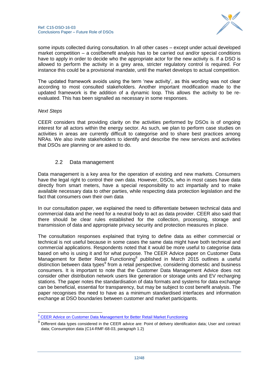

some inputs collected during consultation. In all other cases – except under actual developed market competition – a cost/benefit analysis has to be carried out and/or special conditions have to apply in order to decide who the appropriate actor for the new activity is. If a DSO is allowed to perform the activity in a grey area, stricter regulatory control is required. For instance this could be a provisional mandate, until the market develops to actual competition.

The updated framework avoids using the term "new activity", as this wording was not clear according to most consulted stakeholders. Another important modification made to the updated framework is the addition of a dynamic loop. This allows the activity to be reevaluated. This has been signalled as necessary in some responses.

## *Next Steps*

1

CEER considers that providing clarity on the activities performed by DSOs is of ongoing interest for all actors within the energy sector. As such, we plan to perform case studies on activities in areas are currently difficult to categorise and to share best practices among NRAs. We also invite stakeholders to identify and describe the new services and activities that DSOs are planning or are asked to do.

## 2.2 Data management

<span id="page-11-0"></span>Data management is a key area for the operation of existing and new markets. Consumers have the legal right to control their own data. However, DSOs, who in most cases have data directly from smart meters, have a special responsibility to act impartially and to make available necessary data to other parties, while respecting data protection legislation and the fact that consumers own their own data

In our consultation paper, we explained the need to differentiate between technical data and commercial data and the need for a neutral body to act as data provider. CEER also said that there should be clear rules established for the collection, processing, storage and transmission of data and appropriate privacy security and protection measures in place.

The consultation responses explained that trying to define data as either commercial or technical is not useful because in some cases the same data might have both technical and commercial applications. Respondents noted that it would be more useful to categorise data based on who is using it and for what purpose. The CEER Advice paper on Customer Data Management for Better Retail Functioning<sup>8</sup> published in March 2015 outlines a useful distinction between data types<sup>9</sup> from a retail perspective, considering domestic and business consumers. It is important to note that the Customer Data Management Advice does not consider other distribution network users like generation or storage units and EV recharging stations. The paper notes the standardisation of data formats and systems for data exchange can be beneficial, essential for transparency, but may be subject to cost benefit analysis. The paper recognises the need to have as a minimum standardised interfaces and information exchange at DSO boundaries between customer and market participants.

<sup>&</sup>lt;sup>8</sup> [CEER Advice on Customer Data Management for Better Retail Market Functioning](http://www.ceer.eu/portal/page/portal/EER_HOME/EER_CONSULT/CLOSED%20PUBLIC%20CONSULTATIONS/CUSTOMERS/PC_Data_Management/CD/C14-RMF-68-03_Advice%20on%20Customer%20Data%20Management_19032015.pdf)

<sup>9</sup> Different data types considered in the CEER advice are: Point of delivery identification data; User and contract data; Consumption data (C14-RMF-68-03, paragraph 1.2)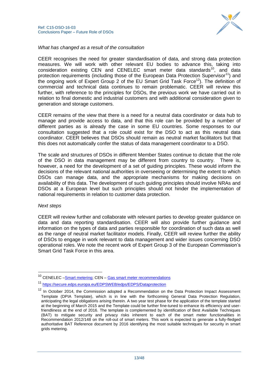

*What has changed as a result of the consultation*

CEER recognises the need for greater standardisation of data, and strong data protection measures. We will work with other relevant EU bodies to advance this, taking into consideration existing CEN and CENELEC smart meter data standards $^{10}$ , and data protection requirements (including those of the European Data Protection Supervisor<sup>11</sup>) and the ongoing work of Expert Group 2 of the EU Smart Grid Task Force<sup>12</sup>). The definition of commercial and technical data continues to remain problematic. CEER will review this further, with reference to the principles for DSOs, the previous work we have carried out in relation to final domestic and industrial customers and with additional consideration given to generation and storage customers.

CEER remains of the view that there is a need for a neutral data coordinator or data hub to manage and provide access to data, and that this role can be provided by a number of different parties as is already the case in some EU countries. Some responses to our consultation suggested that a role could exist for the DSO to act as this neutral data coordinator. CEER believes that DSOs should remain as neutral market facilitators but that this does not automatically confer the status of data management coordinator to a DSO.

The scale and structures of DSOs in different Member States continue to dictate that the role of the DSO in data management may be different from country to country. There is, however, a need for the development of a set of guiding principles. These would inform the decisions of the relevant national authorities in overseeing or determining the extent to which DSOs can manage data, and the appropriate mechanisms for making decisions on availability of this data. The development of such guiding principles should involve NRAs and DSOs at a European level but such principles should not hinder the implementation of national requirements in relation to customer data protection.

#### *Next steps*

-

CEER will review further and collaborate with relevant parties to develop greater guidance on data and data reporting standardisation. CEER will also provide further guidance and information on the types of data and parties responsible for coordination of such data as well as the range of neutral market facilitator models. Finally, CEER will review further the ability of DSOs to engage in work relevant to data management and wider issues concerning DSO operational roles. We note the recent work of Expert Group 3 of the European Commission"s Smart Grid Task Force in this area.

<sup>&</sup>lt;sup>10</sup> CENELEC [–Smart metering;](http://www.cenelec.eu/aboutcenelec/whatwedo/technologysectors/smartmetering.html) CEN – [Gas smart meter recommendations](http://standards.cen.eu/dyn/www/f?p=204:110:0::::FSP_PROJECT,FSP_ORG_ID:33762,6218&cs=1E273D256546EF494E0E84EB6C10A76B9)

<https://secure.edps.europa.eu/EDPSWEB/edps/EDPS/Dataprotection>

 $12$  In October 2014, the Commission adopted a Recommendation on the Data Protection Impact Assessment Template (DPIA Template), which is in line with the forthcoming General Data Protection Regulation, anticipating the legal obligations arising therein. A two year test phase for the application of the template started at the beginning of March 2015 and the Template could be further fine-tuned to enhance its efficiency and userfriendliness at the end of 2016. The template is complemented by identification of Best Available Techniques (BAT) to mitigate security and privacy risks inherent to each of the smart meter functionalities in Recommendation 2012/148 on the roll-out of smart meters. This work is expected to generate a fully-fledged authoritative BAT Reference document by 2016 identifying the most suitable techniques for security in smart grids metering.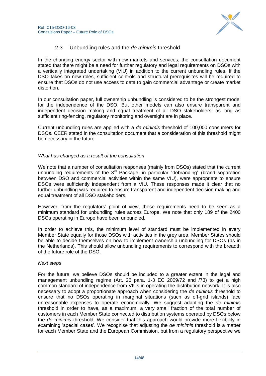

## 2.3 Unbundling rules and the *de minimis* threshold

<span id="page-13-0"></span>In the changing energy sector with new markets and services, the consultation document stated that there might be a need for further regulatory and legal requirements on DSOs with a vertically integrated undertaking (VIU) in addition to the current unbundling rules. If the DSO takes on new roles, sufficient controls and structural prerequisites will be required to ensure that DSOs do not use access to data to gain commercial advantage or create market distortion.

In our consultation paper, full ownership unbundling is considered to be the strongest model for the independence of the DSO. But other models can also ensure transparent and independent decision making and equal treatment of all DSO stakeholders, as long as sufficient ring-fencing, regulatory monitoring and oversight are in place.

Current unbundling rules are applied with a *de minimis* threshold of 100,000 consumers for DSOs. CEER stated in the consultation document that a consideration of this threshold might be necessary in the future.

## *What has changed as a result of the consultation*

We note that a number of consultation responses (mainly from DSOs) stated that the current unbundling requirements of the  $3<sup>rd</sup>$  Package, in particular "debranding" (brand separation between DSO and commercial activities within the same VIU), were appropriate to ensure DSOs were sufficiently independent from a VIU. These responses made it clear that no further unbundling was required to ensure transparent and independent decision making and equal treatment of all DSO stakeholders.

However, from the regulators" point of view, these requirements need to be seen as a minimum standard for unbundling rules across Europe. We note that only 189 of the 2400 DSOs operating in Europe have been unbundled.

In order to achieve this, the minimum level of standard must be implemented in every Member State equally for those DSOs with activities in the grey area. Member States should be able to decide themselves on how to implement ownership unbundling for DSOs (as in the Netherlands). This should allow unbundling requirements to correspond with the breadth of the future role of the DSO.

#### *Next steps*

For the future, we believe DSOs should be included to a greater extent in the legal and management unbundling regime (Art. 26 para. 1-3 EC 2009/72 and /73) to get a high common standard of independence from VIUs in operating the distribution network. It is also necessary to adopt a proportionate approach when considering the *de minimis* threshold to ensure that no DSOs operating in marginal situations (such as off-grid islands) face unreasonable expenses to operate economically. We suggest adapting the *de minimis* threshold in order to have, as a maximum, a very small fraction of the total number of customers in each Member State connected to distribution systems operated by DSOs below the *de minimis* threshold. We consider that this approach would provide more flexibility in examining "special cases". We recognise that adjusting the *de minimis* threshold is a matter for each Member State and the European Commission, but from a regulatory perspective we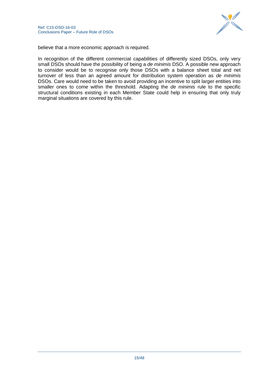

believe that a more economic approach is required.

In recognition of the different commercial capabilities of differently sized DSOs, only very small DSOs should have the possibility of being a *de minimis* DSO. A possible new approach to consider would be to recognise only those DSOs with a balance sheet total and net turnover of less than an agreed amount for distribution system operation as *de minimis*  DSOs. Care would need to be taken to avoid providing an incentive to split larger entities into smaller ones to come within the threshold. Adapting the *de minimis* rule to the specific structural conditions existing in each Member State could help in ensuring that only truly marginal situations are covered by this rule.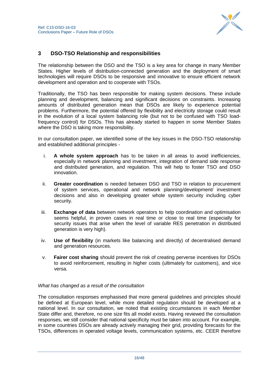

## <span id="page-15-0"></span>**3 DSO-TSO Relationship and responsibilities**

The relationship between the DSO and the TSO is a key area for change in many Member States. Higher levels of distribution-connected generation and the deployment of smart technologies will require DSOs to be responsive and innovative to ensure efficient network development and operation and to cooperate with TSOs.

Traditionally, the TSO has been responsible for making system decisions. These include planning and development, balancing and significant decisions on constraints. Increasing amounts of distributed generation mean that DSOs are likely to experience potential problems. Furthermore, the potential offered by flexibility and electricity storage could result in the evolution of a local system balancing role (but not to be confused with TSO loadfrequency control) for DSOs. This has already started to happen in some Member States where the DSO is taking more responsibility.

In our consultation paper, we identified some of the key issues in the DSO-TSO relationship and established additional principles -

- i. **A whole system approach** has to be taken in all areas to avoid inefficiencies, especially in network planning and investment, integration of demand side response and distributed generation, and regulation. This will help to foster TSO and DSO innovation.
- ii. **Greater coordination** is needed between DSO and TSO in relation to procurement of system services, operational and network planning/development/ investment decisions and also in developing greater whole system security including cyber security.
- iii. **Exchange of data** between network operators to help coordination and optimisation seems helpful, in proven cases in real time or close to real time (especially for security issues that arise when the level of variable RES penetration in distributed generation is very high).
- iv. **Use of flexibility** (in markets like balancing and directly) of decentralised demand and generation resources.
- v. **Fairer cost sharing** should prevent the risk of creating perverse incentives for DSOs to avoid reinforcement, resulting in higher costs (ultimately for customers), and vice versa.

#### *What has changed as a result of the consultation*

The consultation responses emphasised that more general guidelines and principles should be defined at European level, while more detailed regulation should be developed at a national level. In our consultation, we noted that existing circumstances in each Member State differ and, therefore, no one size fits all model exists. Having reviewed the consultation responses, we still consider that national specificity must be taken into account. For example, in some countries DSOs are already actively managing their grid, providing forecasts for the TSOs, differences in operated voltage levels, communication systems, etc. CEER therefore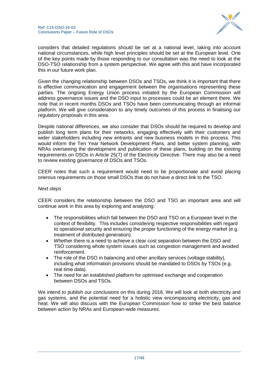

considers that detailed regulations should be set at a national level, taking into account national circumstances, while high level principles should be set at the European level. One of the key points made by those responding to our consultation was the need to look at the DSO-TSO relationship from a system perspective. We agree with this and have incorporated this in our future work plan.

Given the changing relationship between DSOs and TSOs, we think it is important that there is effective communication and engagement between the organisations representing these parties. The ongoing Energy Union process initiated by the European Commission will address governance issues and the DSO input to processes could be an element there. We note that in recent months DSOs and TSOs have been communicating through an informal platform. We will give consideration to any timely outcomes of this process in finalising our regulatory proposals in this area.

Despite national differences, we also consider that DSOs should be required to develop and publish long term plans for their networks, engaging effectively with their customers and wider stakeholders including new entrants and new business models in this process. This would inform the Ten Year Network Development Plans, and better system planning, with NRAs overseeing the development and publication of these plans, building on the existing requirements on DSOs in Article 25(7) of the Electricity Directive. There may also be a need to review existing governance of DSOs and TSOs.

CEER notes that such a requirement would need to be proportionate and avoid placing onerous requirements on those small DSOs that do not have a direct link to the TSO.

#### *Next steps*

CEER considers the relationship between the DSO and TSO an important area and will continue work in this area by exploring and analysing:

- The responsibilities which fall between the DSO and TSO on a European level in the context of flexibility. This includes considering respective responsibilities with regard to operational security and ensuring the proper functioning of the energy market (e.g. treatment of distributed generation).
- Whether there is a need to achieve a clear cost separation between the DSO and TSO considering whole system issues such as congestion management and avoided reinforcement.
- The role of the DSO in balancing and other ancillary services (voltage stability), including what information provisions should be mandated to DSOs by TSOs (e.g. real time data).
- The need for an established platform for optimised exchange and cooperation between DSOs and TSOs.

We intend to publish our conclusions on this during 2016. We will look at both electricity and gas systems, and the potential need for a holistic view encompassing electricity, gas and heat. We will also discuss with the European Commission how to strike the best balance between action by NRAs and European-wide measures.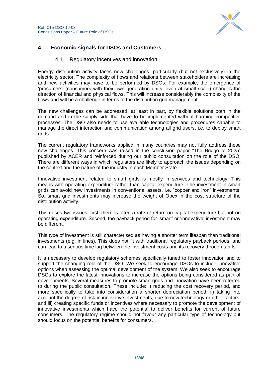

## <span id="page-17-1"></span><span id="page-17-0"></span>**4 Economic signals for DSOs and Customers**

## 4.1 Regulatory incentives and innovation

Energy distribution activity faces new challenges, particularly (but not exclusively) in the electricity sector. The complexity of flows and relations between stakeholders are increasing and new activities may have to be performed by DSOs. For example, the emergence of "prosumers" (consumers with their own generation units, even at small scale) changes the direction of financial and physical flows. This will increase considerably the complexity of the flows and will be a challenge in terms of the distribution grid management.

The new challenges can be addressed, at least in part, by flexible solutions both in the demand and in the supply side that have to be implemented without harming competitive processes. The DSO also needs to use available technologies and procedures capable to manage the direct interaction and communication among all grid users, i.e. to deploy smart grids.

The current regulatory frameworks applied in many countries may not fully address these new challenges. This concern was raised in the conclusion paper "The Bridge to 2025" published by ACER and reinforced during our public consultation on the role of the DSO. There are different ways in which regulators are likely to approach the issues depending on the context and the nature of the industry in each Member State.

Innovative investment related to smart girds is mostly in services and technology. This means with operating expenditure rather than capital expenditure. The investment in smart grids can avoid new investments in conventional assets, i.e. "copper and iron" investments. So, smart grid investments may increase the weight of Opex in the cost structure of the distribution activity.

This raises two issues; first, there is often a rate of return on capital expenditure but not on operating expenditure. Second, the payback period for "smart" or "innovative" investment may be different.

This type of investment is still characterised as having a shorter term lifespan than traditional investments (e.g. in lines). This does not fit with traditional regulatory payback periods, and can lead to a serious time lag between the investment costs and its recovery through tariffs.

It is necessary to develop regulatory schemes specifically tuned to foster innovation and to support the changing role of the DSO. We seek to encourage DSOs to include innovative options when assessing the optimal development of the system. We also seek to encourage DSOs to explore the latest innovations to increase the options being considered as part of developments. Several measures to promote smart grids and innovation have been referred to during the public consultation. These include: i) reducing the cost recovery period, and more specifically to take into consideration a shorter depreciation period; ii) taking into account the degree of risk in innovative investments, due to new technology or other factors; and iii) creating specific funds or incentives where necessary to promote the development of innovative investments which have the potential to deliver benefits for current of future consumers. The regulatory regime should not favour any particular type of technology but should focus on the potential benefits for consumers.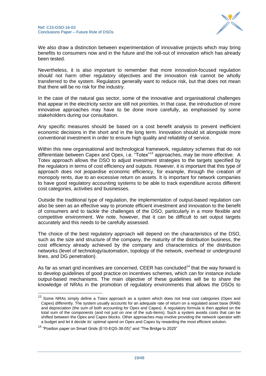

We also draw a distinction between experimentation of innovative projects which may bring benefits to consumers now and in the future and the roll-out of innovation which has already been tested.

Nevertheless, it is also important to remember that more innovation-focused regulation should not harm other regulatory objectives and the innovation risk cannot be wholly transferred to the system. Regulators generally want to reduce risk, but that does not mean that there will be no risk for the industry.

In the case of the natural gas sector, some of the innovative and organisational challenges that appear in the electricity sector are still not priorities. In that case, the introduction of more innovative approaches may have to be done more carefully, as emphasised by some stakeholders during our consultation.

Any specific measures should be based on a cost benefit analysis to prevent inefficient economic decisions in the short and in the long term. Innovation should sit alongside more conventional investment in order to ensure high quality and reliability of service.

Within this new organisational and technological framework, regulatory schemes that do not differentiate between Capex and Opex, i.e. "Totex"<sup>13</sup> approaches, may be more effective. A Totex approach allows the DSO to adjust investment strategies to the targets specified by the regulators in terms of cost efficiency and outputs. However, it is important that this type of approach does not jeopardise economic efficiency, for example, through the creation of monopoly rents, due to an excessive return on assets. It is important for network companies to have good regulatory accounting systems to be able to track expenditure across different cost categories, activities and businesses.

Outside the traditional type of regulation, the implementation of output-based regulation can also be seen as an effective way to promote efficient investment and innovation to the benefit of consumers and to tackle the challenges of the DSO, particularly in a more flexible and competitive environment. We note, however, that it can be difficult to set output targets accurately and this needs to be carefully assessed.

The choice of the best regulatory approach will depend on the characteristics of the DSO, such as the size and structure of the company, the maturity of the distribution business, the cost efficiency already achieved by the company and characteristics of the distribution networks (level of technology/automation, topology of the network, overhead or underground lines, and DG penetration).

As far as smart grid incentives are concerned, CEER has concluded<sup>14</sup> that the way forward is to develop guidelines of good practice on incentives schemes, which can for instance include output-based mechanisms. The main objective of these guidelines will be to share the knowledge of NRAs in the promotion of regulatory environments that allows the DSOs to

1

 $13$  Some NRAs simply define a Totex approach as a system which does not treat cost categories (Opex and Capex) differently. The system usually accounts for an adequate rate of return on a regulated asset base (RAB) and depreciation (the sum of both accounting for Opex and Capex). A regulatory formula is then applied on the total sum of the components (and not just on one of the sub-items). Such a system avoids costs that can be shifted between the Opex and Capex blocks. Other approaches may involve providing the network operator with a budget and let it decide its' optimal spend on Opex and Capex by rewarding the most efficient solution.

<sup>&</sup>lt;sup>14</sup> "Position paper on Smart Grids (E10-EQS-38-05)" and "The Bridge to 2025"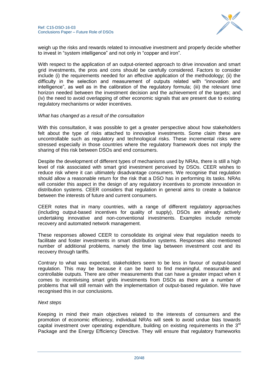

weigh up the risks and rewards related to innovative investment and properly decide whether to invest in "system intelligence" and not only in "copper and iron".

With respect to the application of an output-oriented approach to drive innovation and smart grid investments, the pros and cons should be carefully considered. Factors to consider include (i) the requirements needed for an effective application of the methodology; (ii) the difficulty in the selection and measurement of outputs related with "innovation and intelligence", as well as in the calibration of the regulatory formula; (iii) the relevant time horizon needed between the investment decision and the achievement of the targets; and (iv) the need to avoid overlapping of other economic signals that are present due to existing regulatory mechanisms or wider incentives.

#### *What has changed as a result of the consultation*

With this consultation, it was possible to get a greater perspective about how stakeholders felt about the type of risks attached to innovative investments. Some claim these are uncontrollable such as regulatory and technological risks. These incremental risks were stressed especially in those countries where the regulatory framework does not imply the sharing of this risk between DSOs and end consumers.

Despite the development of different types of mechanisms used by NRAs, there is still a high level of risk associated with smart grid investment perceived by DSOs. CEER wishes to reduce risk where it can ultimately disadvantage consumers. We recognise that regulation should allow a reasonable return for the risk that a DSO has in performing its tasks. NRAs will consider this aspect in the design of any regulatory incentives to promote innovation in distribution systems. CEER considers that regulation in general aims to create a balance between the interests of future and current consumers.

CEER notes that in many countries, with a range of different regulatory approaches (including output-based incentives for quality of supply), DSOs are already actively undertaking innovative and non-conventional investments. Examples include remote recovery and automated network management.

These responses allowed CEER to consolidate its original view that regulation needs to facilitate and foster investments in smart distribution systems. Responses also mentioned number of additional problems, namely the time lag between investment cost and its recovery through tariffs.

Contrary to what was expected, stakeholders seem to be less in favour of output-based regulation. This may be because it can be hard to find meaningful, measurable and controllable outputs. There are other measurements that can have a greater impact when it comes to incentivising smart grids investments from DSOs as there are a number of problems that will still remain with the implementation of output-based regulation. We have recognised this in our conclusions.

#### *Next steps*

Keeping in mind their main objectives related to the interests of consumers and the promotion of economic efficiency, individual NRAs will seek to avoid undue bias towards capital investment over operating expenditure, building on existing requirements in the  $3^{rd}$ Package and the Energy Efficiency Directive. They will ensure that regulatory frameworks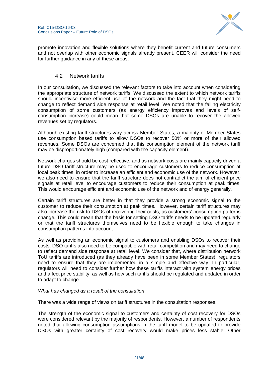

promote innovation and flexible solutions where they benefit current and future consumers and not overlap with other economic signals already present. CEER will consider the need for further guidance in any of these areas.

## 4.2 Network tariffs

<span id="page-20-0"></span>In our consultation, we discussed the relevant factors to take into account when considering the appropriate structure of network tariffs. We discussed the extent to which network tariffs should incentivise more efficient use of the network and the fact that they might need to change to reflect demand side response at retail level. We noted that the falling electricity consumption of some customers (as energy efficiency improves and levels of selfconsumption increase) could mean that some DSOs are unable to recover the allowed revenues set by regulators.

Although existing tariff structures vary across Member States, a majority of Member States use consumption based tariffs to allow DSOs to recover 50% or more of their allowed revenues. Some DSOs are concerned that this consumption element of the network tariff may be disproportionately high (compared with the capacity element).

Network charges should be cost reflective, and as network costs are mainly capacity driven a future DSO tariff structure may be used to encourage customers to reduce consumption at local peak times, in order to increase an efficient and economic use of the network. However, we also need to ensure that the tariff structure does not contradict the aim of efficient price signals at retail level to encourage customers to reduce their consumption at peak times. This would encourage efficient and economic use of the network and of energy generally.

Certain tariff structures are better in that they provide a strong economic signal to the customer to reduce their consumption at peak times. However, certain tariff structures may also increase the risk to DSOs of recovering their costs, as customers" consumption patterns change. This could mean that the basis for setting DSO tariffs needs to be updated regularly or that the tariff structures themselves need to be flexible enough to take changes in consumption patterns into account.

As well as providing an economic signal to customers and enabling DSOs to recover their costs, DSO tariffs also need to be compatible with retail competition and may need to change to reflect demand side response at retail level. We consider that, where distribution network ToU tariffs are introduced (as they already have been in some Member States), regulators need to ensure that they are implemented in a simple and effective way. In particular, regulators will need to consider further how these tariffs interact with system energy prices and affect price stability, as well as how such tariffs should be regulated and updated in order to adapt to change.

## *What has changed as a result of the consultation*

There was a wide range of views on tariff structures in the consultation responses.

The strength of the economic signal to customers and certainty of cost recovery for DSOs were considered relevant by the majority of respondents. However, a number of respondents noted that allowing consumption assumptions in the tariff model to be updated to provide DSOs with greater certainty of cost recovery would make prices less stable. Other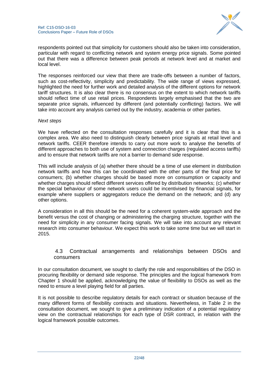

respondents pointed out that simplicity for customers should also be taken into consideration, particular with regard to conflicting network and system energy price signals. Some pointed out that there was a difference between peak periods at network level and at market and local level.

The responses reinforced our view that there are trade-offs between a number of factors, such as cost-reflectivity, simplicity and predictability. The wide range of views expressed, highlighted the need for further work and detailed analysis of the different options for network tariff structures. It is also clear there is no consensus on the extent to which network tariffs should reflect time of use retail prices. Respondents largely emphasised that the two are separate price signals, influenced by different (and potentially conflicting) factors. We will take into account any analysis carried out by the industry, academia or other parties.

#### *Next steps*

We have reflected on the consultation responses carefully and it is clear that this is a complex area. We also need to distinguish clearly between price signals at retail level and network tariffs. CEER therefore intends to carry out more work to analyse the benefits of different approaches to both use of system and connection charges (regulated access tariffs) and to ensure that network tariffs are not a barrier to demand side response.

This will include analysis of (a) whether there should be a time of use element in distribution network tariffs and how this can be coordinated with the other parts of the final price for consumers; (b) whether charges should be based more on consumption or capacity and whether charges should reflect different services offered by distribution networks; (c) whether the special behaviour of some network users could be incentivised by financial signals, for example where suppliers or aggregators reduce the demand on the network; and (d) any other options.

A consideration in all this should be the need for a coherent system-wide approach and the benefit versus the cost of changing or administering the charging structure, together with the need for simplicity in any consumer facing signals. We will take into account any relevant research into consumer behaviour. We expect this work to take some time but we will start in 2015.

## <span id="page-21-0"></span>4.3 Contractual arrangements and relationships between DSOs and consumers

In our consultation document, we sought to clarify the role and responsibilities of the DSO in procuring flexibility or demand side response. The principles and the logical framework from Chapter 1 should be applied, acknowledging the value of flexibility to DSOs as well as the need to ensure a level playing field for all parties.

It is not possible to describe regulatory details for each contract or situation because of the many different forms of flexibility contracts and situations. Nevertheless, in Table 2 in the consultation document, we sought to give a preliminary indication of a potential regulatory view on the contractual relationships for each type of DSR contract, in relation with the logical framework possible outcomes.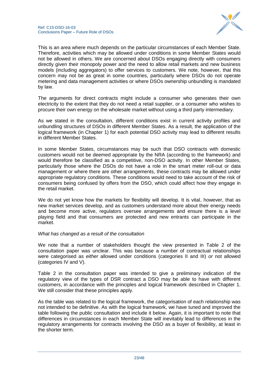

This is an area where much depends on the particular circumstances of each Member State. Therefore, activities which may be allowed under conditions in some Member States would not be allowed in others. We are concerned about DSOs engaging directly with consumers directly given their monopoly power and the need to allow retail markets and new business models (including aggregators) to offer services to customers. We note, however, that this concern may not be as great in some countries, particularly where DSOs do not operate metering and data management activities or where DSOs ownership unbundling is mandated by law.

The arguments for direct contracts might include a consumer who generates their own electricity to the extent that they do not need a retail supplier, or a consumer who wishes to procure their own energy on the wholesale market without using a third party intermediary.

As we stated in the consultation, different conditions exist in current activity profiles and unbundling structures of DSOs in different Member States. As a result, the application of the logical framework (in Chapter 1) for each potential DSO activity may lead to different results in different Member States.

In some Member States, circumstances may be such that DSO contracts with domestic customers would not be deemed appropriate by the NRA (according to the framework) and would therefore be classified as a competitive, non-DSO activity. In other Member States, particularly those where the DSOs do not have a role in the smart meter roll-out or data management or where there are other arrangements, these contracts may be allowed under appropriate regulatory conditions. These conditions would need to take account of the risk of consumers being confused by offers from the DSO, which could affect how they engage in the retail market.

We do not yet know how the markets for flexibility will develop. It is vital, however, that as new market services develop, and as customers understand more about their energy needs and become more active, regulators oversee arrangements and ensure there is a level playing field and that consumers are protected and new entrants can participate in the market.

## *What has changed as a result of the consultation*

We note that a number of stakeholders thought the view presented in Table 2 of the consultation paper was unclear. This was because a number of contractual relationships were categorised as *either* allowed under conditions (categories II and III) *or* not allowed (categories IV and V).

Table 2 in the consultation paper was intended to give a preliminary indication of the regulatory view of the types of DSR contract a DSO may be able to have with different customers, in accordance with the principles and logical framework described in Chapter 1. We still consider that these principles apply.

As the table was related to the logical framework, the categorisation of each relationship was not intended to be definitive. As with the logical framework, we have tuned and improved the table following the public consultation and include it below. Again, it is important to note that differences in circumstances in each Member State will inevitably lead to differences in the regulatory arrangements for contracts involving the DSO as a buyer of flexibility, at least in the shorter term.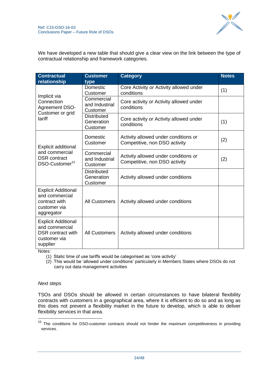

We have developed a new table that should give a clear view on the link between the type of contractual relationship and framework categories.

| <b>Contractual</b><br>relationship                                                                   | <b>Customer</b><br>type                      | <b>Category</b>                                                       | <b>Notes</b> |
|------------------------------------------------------------------------------------------------------|----------------------------------------------|-----------------------------------------------------------------------|--------------|
|                                                                                                      | Domestic<br>Customer                         | Core Activity or Activity allowed under<br>conditions                 | (1)          |
| Implicit via<br>Connection<br><b>Agreement DSO-</b><br>Customer or grid                              | Commercial<br>and Industrial<br>Customer     | Core activity or Activity allowed under<br>conditions                 |              |
| tariff                                                                                               | <b>Distributed</b><br>Generation<br>Customer | Core activity or Activity allowed under<br>conditions                 | (1)          |
| Explicit additional                                                                                  | Domestic<br>Customer                         | Activity allowed under conditions or<br>Competitive, non DSO activity | (2)          |
| and commercial<br><b>DSR</b> contract<br>DSO-Customer <sup>15</sup>                                  | Commercial<br>and Industrial<br>Customer     | Activity allowed under conditions or<br>Competitive, non DSO activity | (2)          |
|                                                                                                      | <b>Distributed</b><br>Generation<br>Customer | Activity allowed under conditions                                     |              |
| <b>Explicit Additional</b><br>and commercial<br>contract with<br>customer via<br>aggregator          | <b>All Customers</b>                         | Activity allowed under conditions                                     |              |
| <b>Explicit Additional</b><br>and commercial<br><b>DSR</b> contract with<br>customer via<br>supplier | <b>All Customers</b>                         | Activity allowed under conditions                                     |              |

Notes:

(1) Static time of use tariffs would be categorised as "core activity"

(2) This would be "allowed under conditions" particularly in Members States where DSOs do not carry out data management activities

## *Next steps*

-

TSOs and DSOs should be allowed in certain circumstances to have bilateral flexibility contracts with customers in a geographical area, where it is efficient to do so and as long as this does not prevent a flexibility market in the future to develop, which is able to deliver flexibility services in that area.

<sup>&</sup>lt;sup>15</sup> The conditions for DSO-customer contracts should not hinder the maximum competitiveness in providing services.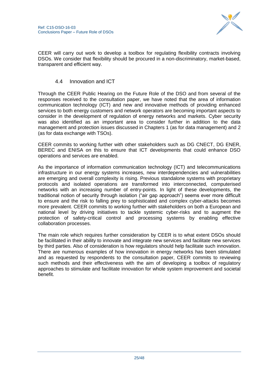

CEER will carry out work to develop a toolbox for regulating flexibility contracts involving DSOs. We consider that flexibility should be procured in a non-discriminatory, market-based, transparent and efficient way.

## 4.4 Innovation and ICT

<span id="page-24-0"></span>Through the CEER Public Hearing on the Future Role of the DSO and from several of the responses received to the consultation paper, we have noted that the area of information communication technology (ICT) and new and innovative methods of providing enhanced services to both energy customers and network operators are becoming important aspects to consider in the development of regulation of energy networks and markets. Cyber security was also identified as an important area to consider further in addition to the data management and protection issues discussed in Chapters 1 (as for data management) and 2 (as for data exchange with TSOs).

CEER commits to working further with other stakeholders such as DG CNECT, DG ENER, BEREC and ENISA on this to ensure that ICT developments that could enhance DSO operations and services are enabled.

As the importance of information communication technology (ICT) and telecommunications infrastructure in our energy systems increases, new interdependencies and vulnerabilities are emerging and overall complexity is rising. Previous standalone systems with proprietary protocols and isolated operations are transformed into interconnected, computerised networks with an increasing number of entry-points. In light of these developments, the traditional notion of security through isolation ("air gap approach") seems ever more difficult to ensure and the risk to falling prey to sophisticated and complex cyber-attacks becomes more prevalent. CEER commits to working further with stakeholders on both a European and national level by driving initiatives to tackle systemic cyber-risks and to augment the protection of safety-critical control and processing systems by enabling effective collaboration processes.

The main role which requires further consideration by CEER is to what extent DSOs should be facilitated in their ability to innovate and integrate new services and facilitate new services by third parties. Also of consideration is how regulators should help facilitate such innovation. There are numerous examples of how innovation in energy networks has been stimulated and as requested by respondents to the consultation paper, CEER commits to reviewing such methods and their effectiveness with the aim of developing a toolbox of regulatory approaches to stimulate and facilitate innovation for whole system improvement and societal benefit.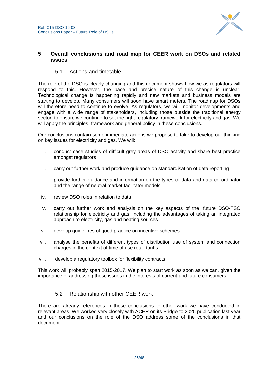

## <span id="page-25-0"></span>**5 Overall conclusions and road map for CEER work on DSOs and related issues**

## 5.1 Actions and timetable

<span id="page-25-1"></span>The role of the DSO is clearly changing and this document shows how we as regulators will respond to this. However, the pace and precise nature of this change is unclear. Technological change is happening rapidly and new markets and business models are starting to develop. Many consumers will soon have smart meters. The roadmap for DSOs will therefore need to continue to evolve. As regulators, we will monitor developments and engage with a wide range of stakeholders, including those outside the traditional energy sector, to ensure we continue to set the right regulatory framework for electricity and gas. We will apply the principles, framework and general policy in these conclusions.

Our conclusions contain some immediate actions we propose to take to develop our thinking on key issues for electricity and gas. We will:

- i. conduct case studies of difficult grey areas of DSO activity and share best practice amongst regulators
- ii. carry out further work and produce guidance on standardisation of data reporting
- iii. provide further guidance and information on the types of data and data co-ordinator and the range of neutral market facilitator models
- iv. review DSO roles in relation to data
- v. carry out further work and analysis on the key aspects of the future DSO-TSO relationship for electricity and gas, including the advantages of taking an integrated approach to electricity, gas and heating sources
- vi. develop guidelines of good practice on incentive schemes
- vii. analyse the benefits of different types of distribution use of system and connection charges in the context of time of use retail tariffs
- viii. develop a regulatory toolbox for flexibility contracts

This work will probably span 2015-2017. We plan to start work as soon as we can, given the importance of addressing these issues in the interests of current and future consumers.

## 5.2 Relationship with other CEER work

<span id="page-25-2"></span>There are already references in these conclusions to other work we have conducted in relevant areas. We worked very closely with ACER on its Bridge to 2025 publication last year and our conclusions on the role of the DSO address some of the conclusions in that document.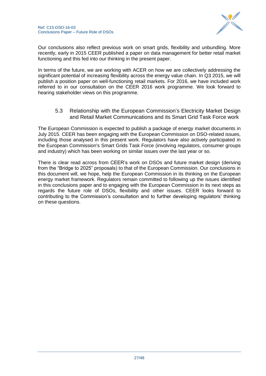

Our conclusions also reflect previous work on smart grids, flexibility and unbundling. More recently, early in 2015 CEER published a paper on data management for better retail market functioning and this fed into our thinking in the present paper.

In terms of the future, we are working with ACER on how we are collectively addressing the significant potential of increasing flexibility across the energy value chain. In Q3 2015, we will publish a position paper on well-functioning retail markets. For 2016, we have included work referred to in our consultation on the CEER 2016 work programme. We look forward to hearing stakeholder views on this programme.

5.3 Relationship with the European Commission"s Electricity Market Design and Retail Market Communications and its Smart Grid Task Force work

<span id="page-26-0"></span>The European Commission is expected to publish a package of energy market documents in July 2015. CEER has been engaging with the European Commission on DSO-related issues, including those analysed in this present work. Regulators have also actively participated in the European Commission's Smart Grids Task Force (involving regulators, consumer groups and industry) which has been working on similar issues over the last year or so.

There is clear read across from CEER"s work on DSOs and future market design (deriving from the "Bridge to 2025" proposals) to that of the European Commission. Our conclusions in this document will, we hope, help the European Commission in its thinking on the European energy market framework. Regulators remain committed to following up the issues identified in this conclusions paper and to engaging with the European Commission in its next steps as regards the future role of DSOs, flexibility and other issues. CEER looks forward to contributing to the Commission"s consultation and to further developing regulators" thinking on these questions.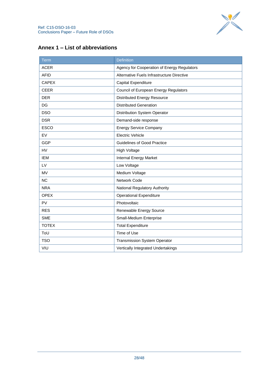

<span id="page-27-0"></span>

|--|

| <b>Term</b>  | Definition                                  |
|--------------|---------------------------------------------|
| <b>ACER</b>  | Agency for Cooperation of Energy Regulators |
| <b>AFID</b>  | Alternative Fuels Infrastructure Directive  |
| <b>CAPEX</b> | Capital Expenditure                         |
| <b>CEER</b>  | Council of European Energy Regulators       |
| <b>DER</b>   | <b>Distributed Energy Resource</b>          |
| DG           | <b>Distributed Generation</b>               |
| <b>DSO</b>   | Distribution System Operator                |
| <b>DSR</b>   | Demand-side response                        |
| <b>ESCO</b>  | <b>Energy Service Company</b>               |
| EV           | <b>Electric Vehicle</b>                     |
| <b>GGP</b>   | <b>Guidelines of Good Practice</b>          |
| <b>HV</b>    | <b>High Voltage</b>                         |
| <b>IEM</b>   | Internal Energy Market                      |
| LV           | Low Voltage                                 |
| <b>MV</b>    | Medium Voltage                              |
| <b>NC</b>    | Network Code                                |
| <b>NRA</b>   | National Regulatory Authority               |
| <b>OPEX</b>  | <b>Operational Expenditure</b>              |
| PV           | Photovoltaic                                |
| <b>RES</b>   | Renewable Energy Source                     |
| <b>SME</b>   | Small-Medium Enterprise                     |
| <b>TOTEX</b> | <b>Total Expenditure</b>                    |
| ToU          | Time of Use                                 |
| <b>TSO</b>   | <b>Transmission System Operator</b>         |
| VIU          | Vertically Integrated Undertakings          |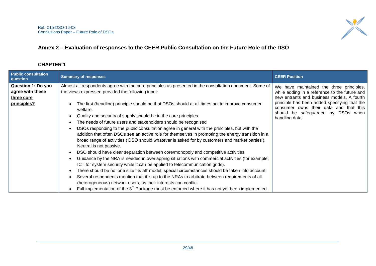

## **Annex 2 – Evaluation of responses to the CEER Public Consultation on the Future Role of the DSO**

## **CHAPTER 1**

<span id="page-28-0"></span>

| <b>Public consultation</b><br>question                                     | <b>Summary of responses</b>                                                                                                                                                                                                                                                                                                                                                                                                                                                                                                                                                                                                                                                                                                                                                                                                                                                                                                                                                                                                                                                                                                                                                                                                                                                                               | <b>CEER Position</b>                                                                                                                                                                                                                                                                      |
|----------------------------------------------------------------------------|-----------------------------------------------------------------------------------------------------------------------------------------------------------------------------------------------------------------------------------------------------------------------------------------------------------------------------------------------------------------------------------------------------------------------------------------------------------------------------------------------------------------------------------------------------------------------------------------------------------------------------------------------------------------------------------------------------------------------------------------------------------------------------------------------------------------------------------------------------------------------------------------------------------------------------------------------------------------------------------------------------------------------------------------------------------------------------------------------------------------------------------------------------------------------------------------------------------------------------------------------------------------------------------------------------------|-------------------------------------------------------------------------------------------------------------------------------------------------------------------------------------------------------------------------------------------------------------------------------------------|
| <b>Question 1: Do you</b><br>agree with these<br>three core<br>principles? | Almost all respondents agree with the core principles as presented in the consultation document. Some of<br>the views expressed provided the following input:<br>The first (headline) principle should be that DSOs should at all times act to improve consumer<br>welfare.<br>Quality and security of supply should be in the core principles<br>The needs of future users and stakeholders should be recognised<br>DSOs responding to the public consultation agree in general with the principles, but with the<br>addition that often DSOs see an active role for themselves in promoting the energy transition in a<br>broad range of activities ('DSO should whatever is asked for by customers and market parties').<br>Neutral is not passive.<br>DSO should have clear separation between core/monopoly and competitive activities<br>Guidance by the NRA is needed in overlapping situations with commercial activities (for example,<br>ICT for system security while it can be applied to telecommunication grids).<br>There should be no 'one size fits all' model, special circumstances should be taken into account.<br>Several respondents mention that it is up to the NRAs to arbitrate between requirements of all<br>(heterogeneous) network users, as their interests can conflict. | We have maintained the three principles,<br>while adding in a reference to the future and<br>new entrants and business models. A fourth<br>principle has been added specifying that the<br>consumer owns their data and that this<br>should be safeguarded by DSOs when<br>handling data. |
|                                                                            | Full implementation of the 3 <sup>rd</sup> Package must be enforced where it has not yet been implemented.                                                                                                                                                                                                                                                                                                                                                                                                                                                                                                                                                                                                                                                                                                                                                                                                                                                                                                                                                                                                                                                                                                                                                                                                |                                                                                                                                                                                                                                                                                           |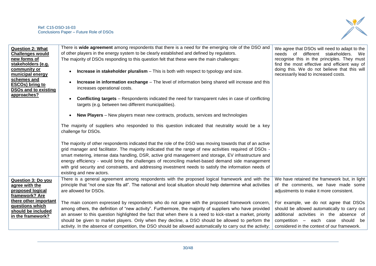

| <b>Question 2: What</b>     | There is wide agreement among respondents that there is a need for the emerging role of the DSO and            | We agree that DSOs will need to adapt to the |
|-----------------------------|----------------------------------------------------------------------------------------------------------------|----------------------------------------------|
| <b>Challenges would</b>     | of other players in the energy system to be clearly established and defined by regulators.                     | needs<br>of<br>different stakeholders.<br>We |
| new forms of                | The majority of DSOs responding to this question felt that these were the main challenges:                     | recognise this in the principles. They must  |
| stakeholders (e.g.          |                                                                                                                | find the most effective and efficient way of |
| community or                | <b>Increase in stakeholder pluralism</b> $-$ This is both with respect to typology and size.                   | doing this. We do not believe that this will |
| municipal energy            |                                                                                                                | necessarily lead to increased costs.         |
| schemes and                 | Increase in information exchange - The level of information being shared will increase and this                |                                              |
| <b>ESCOs) bring to</b>      | increases operational costs.                                                                                   |                                              |
| <b>DSOs and to existing</b> |                                                                                                                |                                              |
| approaches?                 | <b>Conflicting targets</b> – Respondents indicated the need for transparent rules in case of conflicting       |                                              |
|                             | targets (e.g. between two different municipalities).                                                           |                                              |
|                             |                                                                                                                |                                              |
|                             | <b>New Players</b> – New players mean new contracts, products, services and technologies                       |                                              |
|                             |                                                                                                                |                                              |
|                             | The majority of suppliers who responded to this question indicated that neutrality would be a key              |                                              |
|                             | challenge for DSOs.                                                                                            |                                              |
|                             |                                                                                                                |                                              |
|                             | The majority of other respondents indicated that the role of the DSO was moving towards that of an active      |                                              |
|                             | grid manager and facilitator. The majority indicated that the range of new activities required of DSOs -       |                                              |
|                             |                                                                                                                |                                              |
|                             | smart metering, intense data handling, DSR, active grid management and storage, EV infrastructure and          |                                              |
|                             | energy efficiency - would bring the challenges of reconciling market-based demand side management              |                                              |
|                             | with grid security and constraints, and addressing investment needs to satisfy the information needs of        |                                              |
|                             | existing and new actors.                                                                                       |                                              |
| <b>Question 3: Do you</b>   | There is a general agreement among respondents with the proposed logical framework and with the                | We have retained the framework but, in light |
| agree with the              | principle that "not one size fits all". The national and local situation should help determine what activities | of the comments, we have made some           |
| proposed logical            | are allowed for DSOs.                                                                                          | adjustments to make it more consistent.      |
| framework? Are              |                                                                                                                |                                              |
| there other important       | The main concern expressed by respondents who do not agree with the proposed framework concern,                | For example, we do not agree that DSOs       |
| questions which             | among others, the definition of "new activity". Furthermore, the majority of suppliers who have provided       | should be allowed automatically to carry out |
| should be included          | an answer to this question highlighted the fact that when there is a need to kick-start a market, priority     | additional activities in the absence of      |
| in the framework?           |                                                                                                                |                                              |
|                             | should be given to market players. Only when they decline, a DSO should be allowed to perform the              | competition - each case<br>should be         |
|                             | activity. In the absence of competition, the DSO should be allowed automatically to carry out the activity;    | considered in the context of our framework.  |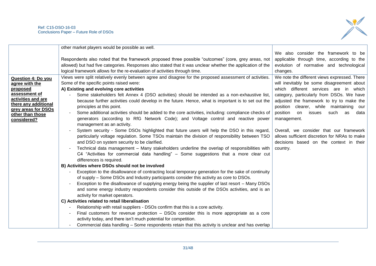

|                                             | other market players would be possible as well.                                                            |                                               |
|---------------------------------------------|------------------------------------------------------------------------------------------------------------|-----------------------------------------------|
|                                             |                                                                                                            | We also consider the framework to be          |
|                                             | Respondents also noted that the framework proposed three possible "outcomes" (core, grey areas, not        | applicable through time, according to the     |
|                                             | allowed) but had five categories. Responses also stated that it was unclear whether the application of the | evolution of normative and technological      |
|                                             | logical framework allows for the re-evaluation of activities through time.                                 | changes.                                      |
| <b>Question 4: Do you</b>                   | Views were split relatively evenly between agree and disagree for the proposed assessment of activities.   | We note the different views expressed. There  |
| agree with the                              | Some of the specific points raised were:                                                                   | will inevitably be some disagreement about    |
| proposed                                    | A) Existing and evolving core activities                                                                   | which different services are in which         |
| assessment of                               | Some stakeholders felt Annex 4 (DSO activities) should be intended as a non-exhaustive list,               | category, particularly from DSOs. We have     |
| activities and are                          | because further activities could develop in the future. Hence, what is important is to set out the         | adjusted the framework to try to make the     |
| there any additional<br>grey areas for DSOs | principles at this point.                                                                                  | position clearer, while maintaining our       |
| other than those                            | Some additional activities should be added to the core activities, including: compliance checks of         | position on<br>issues<br>such as<br>data      |
| considered?                                 | generators (according to RfG Network Code); and Voltage control and reactive power                         | management.                                   |
|                                             | management as an activity.                                                                                 |                                               |
|                                             | System security - Some DSOs highlighted that future users will help the DSO in this regard,                | Overall, we consider that our framework       |
|                                             | particularly voltage regulation. Some TSOs maintain the division of responsibility between TSO             | allows sufficient discretion for NRAs to make |
|                                             | and DSO on system security to be clarified.                                                                | decisions based on the context in their       |
|                                             | Technical data management - Many stakeholders underline the overlap of responsibilities with               | country.                                      |
|                                             | C4 "Activities for commercial data handling" – Some suggestions that a more clear cut                      |                                               |
|                                             | differences is required.                                                                                   |                                               |
|                                             | B) Activities where DSOs should not be involved                                                            |                                               |
|                                             | Exception to the disallowance of contracting local temporary generation for the sake of continuity         |                                               |
|                                             | of supply – Some DSOs and Industry participants consider this activity as core to DSOs.                    |                                               |
|                                             | Exception to the disallowance of supplying energy being the supplier of last resort - Many DSOs            |                                               |
|                                             | and some energy industry respondents consider this outside of the DSOs activities, and is an               |                                               |
|                                             | activity for market operators.                                                                             |                                               |
|                                             | C) Activities related to retail liberalisation                                                             |                                               |
|                                             | Relationship with retail suppliers - DSOs confirm that this is a core activity.                            |                                               |
|                                             | Final customers for revenue protection – DSOs consider this is more appropriate as a core                  |                                               |
|                                             | activity today, and there isn't much potential for competition.                                            |                                               |
|                                             | Commercial data handling - Some respondents retain that this activity is unclear and has overlap           |                                               |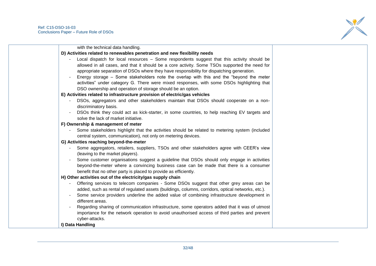

| with the technical data handling.<br>D) Activities related to renewables penetration and new flexibility needs |  |
|----------------------------------------------------------------------------------------------------------------|--|
|                                                                                                                |  |
|                                                                                                                |  |
| Local dispatch for local resources - Some respondents suggest that this activity should be                     |  |
| allowed in all cases, and that it should be a core activity. Some TSOs supported the need for                  |  |
| appropriate separation of DSOs where they have responsibility for dispatching generation.                      |  |
| Energy storage – Some stakeholders note the overlap with this and the "beyond the meter                        |  |
| activities" under category G. There were mixed responses, with some DSOs highlighting that                     |  |
| DSO ownership and operation of storage should be an option.                                                    |  |
| E) Activities related to infrastructure provision of electric/gas vehicles                                     |  |
| DSOs, aggregators and other stakeholders maintain that DSOs should cooperate on a non-                         |  |
| discriminatory basis.                                                                                          |  |
| DSOs think they could act as kick-starter, in some countries, to help reaching EV targets and                  |  |
| solve the lack of market initiative.                                                                           |  |
| F) Ownership & management of meter                                                                             |  |
| Some stakeholders highlight that the activities should be related to metering system (included                 |  |
| central system, communication), not only on metering devices.                                                  |  |
| G) Activities reaching beyond-the-meter                                                                        |  |
| Some aggregators, retailers, suppliers, TSOs and other stakeholders agree with CEER's view                     |  |
| (leaving to the market players).                                                                               |  |
| Some customer organisations suggest a guideline that DSOs should only engage in activities                     |  |
| beyond-the-meter where a convincing business case can be made that there is a consumer                         |  |
| benefit that no other party is placed to provide as efficiently.                                               |  |
| H) Other activities out of the electricity/gas supply chain                                                    |  |
| Offering services to telecom companies - Some DSOs suggest that other grey areas can be                        |  |
| added, such as rental of regulated assets (buildings, columns, corridors, optical networks, etc.).             |  |
| Some service providers underline the added value of combining infrastructure development in                    |  |
| different areas.                                                                                               |  |
| Regarding sharing of communication infrastructure, some operators added that it was of utmost                  |  |
| importance for the network operation to avoid unauthorised access of third parties and prevent                 |  |
| cyber-attacks.                                                                                                 |  |
| I) Data Handling                                                                                               |  |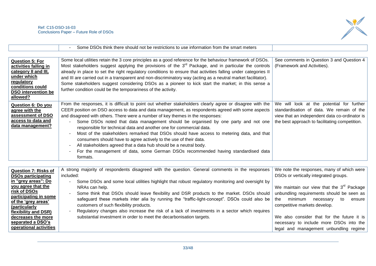

|                                               | Some DSOs think there should not be restrictions to use information from the smart meters                        |                                                |
|-----------------------------------------------|------------------------------------------------------------------------------------------------------------------|------------------------------------------------|
|                                               |                                                                                                                  |                                                |
| <b>Question 5: For</b>                        | Some local utilities retain the 3 core principles as a good reference for the behaviour framework of DSOs.       | See comments in Question 3 and Question 4      |
| activities falling in                         | Most stakeholders suggest applying the provisions of the 3 <sup>rd</sup> Package, and in particular the controls | (Framework and Activities).                    |
| category II and III,                          | already in place to set the right regulatory conditions to ensure that activities falling under categories II    |                                                |
| under which                                   | and III are carried out in a transparent and non-discriminatory way (acting as a neutral market facilitator).    |                                                |
| <u>regulatory</u>                             | Some stakeholders suggest considering DSOs as a pioneer to kick start the market; in this sense a                |                                                |
| conditions could                              | further condition could be the temporariness of the activity.                                                    |                                                |
| DSO intervention be<br>allowed?               |                                                                                                                  |                                                |
|                                               |                                                                                                                  |                                                |
| <b>Question 6: Do you</b>                     | From the responses, it is difficult to point out whether stakeholders clearly agree or disagree with the         | We will look at the potential for<br>further   |
| agree with the                                | CEER position on DSO access to data and data management, as respondents agreed with some aspects                 | standardisation of data. We remain of the      |
| assessment of DSO                             | and disagreed with others. There were a number of key themes in the responses:                                   | view that an independent data co-ordinator is  |
| <u>access to data and</u><br>data management? | Some DSOs noted that data management should be organised by one party and not one                                | the best approach to facilitating competition. |
|                                               | responsible for technical data and another one for commercial data.                                              |                                                |
|                                               | Most of the stakeholders remarked that DSOs should have access to metering data, and that                        |                                                |
|                                               | consumers should have to agree actively to the use of their data.                                                |                                                |
|                                               | All stakeholders agreed that a data hub should be a neutral body.                                                |                                                |
|                                               | For the management of data, some German DSOs recommended having standardised data                                |                                                |
|                                               | formats.                                                                                                         |                                                |

| <b>Question 7: Risks of</b>            | A strong majority of respondents disagreed with the question. General comments in the responses | We note the responses, many of which were      |
|----------------------------------------|-------------------------------------------------------------------------------------------------|------------------------------------------------|
| <b>DSOs participating</b>              | included:                                                                                       | DSOs or vertically integrated groups.          |
| in "grey areas": Do                    | Some DSOs and some local utilities highlight that robust regulatory monitoring and oversight by |                                                |
| you agree that the                     | NRAs can help.                                                                                  | We maintain our view that the $3^{rd}$ Package |
| risk of DSOs                           | Some think that DSOs should leave flexibility and DSR products to the market. DSOs should       | unbundling requirements should be seen as      |
| participating in some                  | safeguard these markets inter alia by running the "traffic-light-concept". DSOs could also be   | minimum<br>the<br>necessary<br>to<br>ensure    |
| of the 'grey areas'                    | customers of such flexibility products.                                                         | competitive markets develop.                   |
| (particularly)<br>flexibility and DSR) | Regulatory changes also increase the risk of a lack of investments in a sector which requires   |                                                |
| decreases the more                     | substantial investment in order to meet the decarbonisation targets.                            | We also consider that for the future it is     |
| separated a DSO's                      |                                                                                                 | necessary to include more DSOs into the        |
| operational activities                 |                                                                                                 | legal and management unbundling regime         |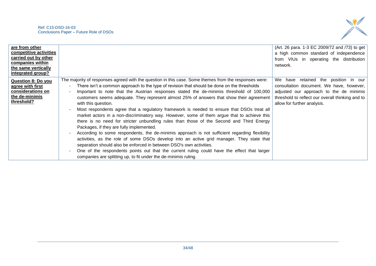

| are from other<br>competitive activities<br>carried out by other<br>companies within<br>the same vertically<br>integrated group? |                                                                                                                                                                                                                                                                                                                                                                                                                                                                                                                                                                                                                                                                                                                                                                                                                                                                                                                                                                                                                                                                                                                                                                                                  | (Art. 26 para. 1-3 EC 2009/72 and /73) to get<br>a high common standard of independence<br>from VIUs in operating the distribution<br>network.                                                                 |
|----------------------------------------------------------------------------------------------------------------------------------|--------------------------------------------------------------------------------------------------------------------------------------------------------------------------------------------------------------------------------------------------------------------------------------------------------------------------------------------------------------------------------------------------------------------------------------------------------------------------------------------------------------------------------------------------------------------------------------------------------------------------------------------------------------------------------------------------------------------------------------------------------------------------------------------------------------------------------------------------------------------------------------------------------------------------------------------------------------------------------------------------------------------------------------------------------------------------------------------------------------------------------------------------------------------------------------------------|----------------------------------------------------------------------------------------------------------------------------------------------------------------------------------------------------------------|
| <b>Question 8: Do you</b><br>agree with first<br>considerations on<br>the de-minimis<br>threshold?                               | The majority of responses agreed with the question in this case. Some themes from the responses were:<br>There isn't a common approach to the type of revision that should be done on the thresholds<br>Important to note that the Austrian responses stated the de-minimis threshold of 100,000<br>customers seems adequate. They represent almost 25% of answers that show their agreement<br>with this question.<br>Most respondents agree that a regulatory framework is needed to ensure that DSOs treat all<br>market actors in a non-discriminatory way. However, some of them argue that to achieve this<br>there is no need for stricter unbundling rules than those of the Second and Third Energy<br>Packages, if they are fully implemented.<br>According to some respondents, the de-minimis approach is not sufficient regarding flexibility<br>activities, as the role of some DSOs develop into an active grid manager. They state that<br>separation should also be enforced in between DSO's own activities.<br>One of the respondents points out that the current ruling could have the effect that larger<br>companies are splitting up, to fit under the de-minimis ruling. | We have retained the position in our<br>consultation document. We have, however,<br>adjusted our approach to the de minimis<br>threshold to reflect our overall thinking and to<br>allow for further analysis. |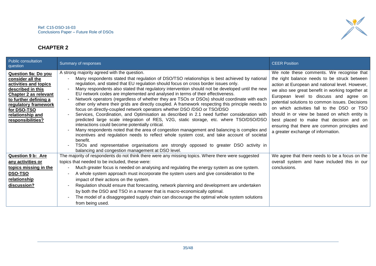

## **CHAPTER 2**

| <b>Public consultation</b><br>question                                                                                                                                                                                         | Summary of responses                                                                                                                                                                                                                                                                                                                                                                                                                                                                                                                                                                                                                                                                                                                                                                                                                                                                                                                                                                                                                                                                                                                                                                                                                                                                                      | <b>CEER Position</b>                                                                                                                                                                                                                                                                                                                                                                                                                                                                                                            |
|--------------------------------------------------------------------------------------------------------------------------------------------------------------------------------------------------------------------------------|-----------------------------------------------------------------------------------------------------------------------------------------------------------------------------------------------------------------------------------------------------------------------------------------------------------------------------------------------------------------------------------------------------------------------------------------------------------------------------------------------------------------------------------------------------------------------------------------------------------------------------------------------------------------------------------------------------------------------------------------------------------------------------------------------------------------------------------------------------------------------------------------------------------------------------------------------------------------------------------------------------------------------------------------------------------------------------------------------------------------------------------------------------------------------------------------------------------------------------------------------------------------------------------------------------------|---------------------------------------------------------------------------------------------------------------------------------------------------------------------------------------------------------------------------------------------------------------------------------------------------------------------------------------------------------------------------------------------------------------------------------------------------------------------------------------------------------------------------------|
| Question 9a: Do you<br>consider all the<br>activities and topics<br>described in this<br><b>Chapter 2 as relevant</b><br>to further defining a<br>regulatory framework<br>for DSO-TSO<br>relationship and<br>responsibilities? | A strong majority agreed with the question.<br>Many respondents stated that regulation of DSO/TSO relationships is best achieved by national<br>regulation, and stated that EU regulation should focus on cross border issues only.<br>Many respondents also stated that regulatory intervention should not be developed until the new<br>EU network codes are implemented and analysed in terms of their effectiveness.<br>Network operators (regardless of whether they are TSOs or DSOs) should coordinate with each<br>other only where their grids are directly coupled. A framework respecting this principle needs to<br>focus on directly-coupled network operators whether DSO /DSO or TSO/DSO<br>Services, Coordination, and Optimisation as described in 2.1 need further consideration with<br>predicted large scale integration of RES, V2G, static storage, etc. where TSO/DSO/DSO<br>interactions could become potentially critical.<br>Many respondents noted that the area of congestion management and balancing is complex and<br>incentives and regulation needs to reflect whole system cost, and take account of societal<br>benefit.<br>TSOs and representative organisations are strongly opposed to greater DSO activity in<br>balancing and congestion management at DSO level. | We note these comments. We recognise that<br>the right balance needs to be struck between<br>action at European and national level. However,<br>we also see great benefit in working together at<br>European level to discuss and agree on<br>potential solutions to common issues. Decisions<br>on which activities fall to the DSO or TSO<br>should in or view be based on which entity is<br>best placed to make that decision and on<br>ensuring that there are common principles and<br>a greater exchange of information. |
| <b>Question 9 b: Are</b><br>any activities or<br>topics missing in the<br>DSO-TSO<br>relationship<br>discussion?                                                                                                               | The majority of respondents do not think there were any missing topics. Where there were suggested<br>topics that needed to be included, these were:<br>Much greater focus is needed on analysing and regulating the energy system as one system.<br>A whole system approach must incorporate the system users and give consideration to the<br>impact of their actions on the system.<br>Regulation should ensure that forecasting, network planning and development are undertaken<br>by both the DSO and TSO in a manner that is macro-economically optimal.<br>The model of a disaggregated supply chain can discourage the optimal whole system solutions<br>from being used.                                                                                                                                                                                                                                                                                                                                                                                                                                                                                                                                                                                                                        | We agree that there needs to be a focus on the<br>overall system and have included this in our<br>conclusions.                                                                                                                                                                                                                                                                                                                                                                                                                  |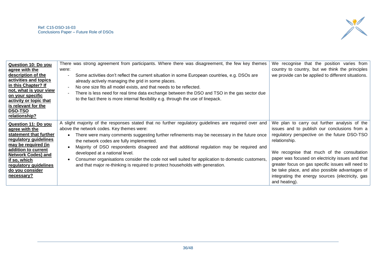

| Question 10: Do you                               | There was strong agreement from participants. Where there was disagreement, the few key themes        | We recognise that the position varies from         |
|---------------------------------------------------|-------------------------------------------------------------------------------------------------------|----------------------------------------------------|
| agree with the                                    | were:                                                                                                 | country to country, but we think the principles    |
| description of the                                | Some activities don't reflect the current situation in some European countries, e.g. DSOs are         | we provide can be applied to different situations. |
| activities and topics                             | already actively managing the grid in some places.                                                    |                                                    |
| in this Chapter? If                               | No one size fits all model exists, and that needs to be reflected.                                    |                                                    |
| not, what is your view                            | There is less need for real time data exchange between the DSO and TSO in the gas sector due          |                                                    |
| <u>on your specific</u><br>activity or topic that | to the fact there is more internal flexibility e.g. through the use of linepack.                      |                                                    |
| is relevant for the                               |                                                                                                       |                                                    |
| DSO-TSO                                           |                                                                                                       |                                                    |
| relationship?                                     |                                                                                                       |                                                    |
|                                                   |                                                                                                       |                                                    |
| Question 11: Do you                               | A slight majority of the responses stated that no further regulatory guidelines are required over and | We plan to carry out further analysis of the       |
| agree with the                                    | above the network codes. Key themes were:                                                             | issues and to publish our conclusions from a       |
| statement that further                            | There were many comments suggesting further refinements may be necessary in the future once           | regulatory perspective on the future DSO-TSO       |
| regulatory guidelines                             | the network codes are fully implemented.                                                              | relationship.                                      |
| may be required (in                               | Majority of DSO respondents disagreed and that additional regulation may be required and              |                                                    |
| addition to current                               | developed at a national level.                                                                        | We recognise that much of the consultation         |
| <b>Network Codes) and</b>                         | Consumer organisations consider the code not well suited for application to domestic customers,       | paper was focused on electricity issues and that   |
| if so, which                                      |                                                                                                       | greater focus on gas specific issues will need to  |
| regulatory guidelines                             | and that major re-thinking is required to protect households with generation.                         | be take place, and also possible advantages of     |
| do you consider                                   |                                                                                                       |                                                    |
| necessary?                                        |                                                                                                       | integrating the energy sources (electricity, gas   |
|                                                   |                                                                                                       | and heating).                                      |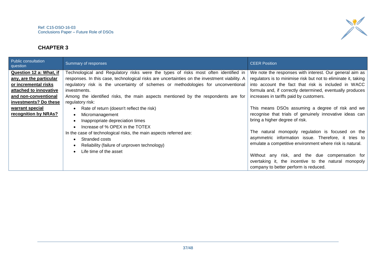

## **CHAPTER 3**

| Public consultation<br>question | Summary of responses                                                                          | <b>CEER Position</b>                                           |
|---------------------------------|-----------------------------------------------------------------------------------------------|----------------------------------------------------------------|
| Question 12 a: What, if         | Technological and Regulatory risks were the types of risks most often identified in           | We note the responses with interest. Our general aim as        |
| any, are the particular         | responses. In this case, technological risks are uncertainties on the investment viability. A | regulators is to minimise risk but not to eliminate it, taking |
| or incremental risks            | regulatory risk is the uncertainty of schemes or methodologies for unconventional             | into account the fact that risk is included in WACC            |
| attached to innovative          | investments.                                                                                  | formula and, if correctly determined, eventually produces      |
| and non-conventional            | Among the identified risks, the main aspects mentioned by the respondents are for             | increases in tariffs paid by customers.                        |
| investments? Do these           | regulatory risk:                                                                              |                                                                |
| warrant special                 | Rate of return (doesn't reflect the risk)                                                     | This means DSOs assuming a degree of risk and we               |
| recognition by NRAs?            | Micromanagement                                                                               | recognise that trials of genuinely innovative ideas can        |
|                                 | Inappropriate depreciation times                                                              | bring a higher degree of risk.                                 |
|                                 | Increase of % OPEX in the TOTEX                                                               |                                                                |
|                                 | In the case of technological risks, the main aspects referred are:                            | The natural monopoly regulation is focused on the              |
|                                 | Stranded costs                                                                                | asymmetric information issue. Therefore, it tries to           |
|                                 | Reliability (failure of unproven technology)                                                  | emulate a competitive environment where risk is natural.       |
|                                 | Life time of the asset                                                                        |                                                                |
|                                 |                                                                                               | Without any risk, and the due compensation for                 |
|                                 |                                                                                               | overtaking it, the incentive to the natural monopoly           |
|                                 |                                                                                               | company to better perform is reduced.                          |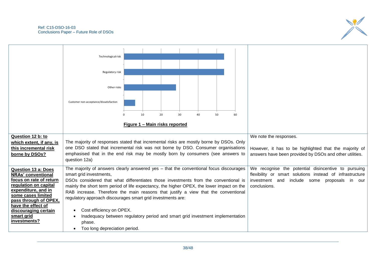

|                                                      | Technological risk                                                                                                |                                                                                                                                                                                  |                                |    |    |    |    |              |  |                                                                                                                 |
|------------------------------------------------------|-------------------------------------------------------------------------------------------------------------------|----------------------------------------------------------------------------------------------------------------------------------------------------------------------------------|--------------------------------|----|----|----|----|--------------|--|-----------------------------------------------------------------------------------------------------------------|
|                                                      | Regulatory risk                                                                                                   |                                                                                                                                                                                  |                                |    |    |    |    |              |  |                                                                                                                 |
|                                                      |                                                                                                                   |                                                                                                                                                                                  |                                |    |    |    |    |              |  |                                                                                                                 |
|                                                      | Other risks                                                                                                       |                                                                                                                                                                                  |                                |    |    |    |    |              |  |                                                                                                                 |
|                                                      |                                                                                                                   |                                                                                                                                                                                  |                                |    |    |    |    |              |  |                                                                                                                 |
|                                                      | Customer non-acceptance/dissatisfaction                                                                           |                                                                                                                                                                                  |                                |    |    |    |    |              |  |                                                                                                                 |
|                                                      |                                                                                                                   |                                                                                                                                                                                  |                                |    |    |    |    |              |  |                                                                                                                 |
|                                                      |                                                                                                                   |                                                                                                                                                                                  | 10                             | 20 | 30 | 40 | 50 | 60           |  |                                                                                                                 |
|                                                      |                                                                                                                   |                                                                                                                                                                                  | Figure 1 - Main risks reported |    |    |    |    |              |  |                                                                                                                 |
|                                                      |                                                                                                                   |                                                                                                                                                                                  |                                |    |    |    |    |              |  |                                                                                                                 |
| Question 12 b: to                                    |                                                                                                                   |                                                                                                                                                                                  |                                |    |    |    |    |              |  | We note the responses.                                                                                          |
| which extent, if any, is                             | The majority of responses stated that incremental risks are mostly borne by DSOs. Only                            |                                                                                                                                                                                  |                                |    |    |    |    |              |  |                                                                                                                 |
| this incremental risk                                | one DSO stated that incremental risk was not borne by DSO. Consumer organisations                                 |                                                                                                                                                                                  |                                |    |    |    |    |              |  | However, it has to be highlighted that the majority of                                                          |
| borne by DSOs?                                       | emphasised that in the end risk may be mostly born by consumers (see answers to<br>question 12a)                  |                                                                                                                                                                                  |                                |    |    |    |    |              |  | answers have been provided by DSOs and other utilities.                                                         |
|                                                      |                                                                                                                   |                                                                                                                                                                                  |                                |    |    |    |    |              |  |                                                                                                                 |
| <b>Question 13 a: Does</b>                           | The majority of answers clearly answered yes - that the conventional focus discourages<br>smart grid investments, |                                                                                                                                                                                  |                                |    |    |    |    |              |  | We recognise the potential disincentive to pursuing<br>flexibility or smart solutions instead of infrastructure |
| <b>NRAs' conventional</b><br>focus on rate of return |                                                                                                                   |                                                                                                                                                                                  |                                |    |    |    |    |              |  | investment and<br>include some proposals<br>in our                                                              |
| regulation on capital                                |                                                                                                                   | DSOs considered that what differentiates those investments from the conventional is<br>mainly the short term period of life expectancy, the higher OPEX, the lower impact on the |                                |    |    |    |    | conclusions. |  |                                                                                                                 |
| expenditure, and in                                  | RAB increase. Therefore the main reasons that justify a view that the conventional                                |                                                                                                                                                                                  |                                |    |    |    |    |              |  |                                                                                                                 |
| some cases limited<br>pass through of OPEX,          | regulatory approach discourages smart grid investments are:                                                       |                                                                                                                                                                                  |                                |    |    |    |    |              |  |                                                                                                                 |
| have the effect of                                   |                                                                                                                   |                                                                                                                                                                                  |                                |    |    |    |    |              |  |                                                                                                                 |
| discouraging certain                                 | Cost efficiency on OPEX.                                                                                          |                                                                                                                                                                                  |                                |    |    |    |    |              |  |                                                                                                                 |
| smart grid<br>investments?                           | Inadequacy between regulatory period and smart grid investment implementation                                     |                                                                                                                                                                                  |                                |    |    |    |    |              |  |                                                                                                                 |
|                                                      | phase.                                                                                                            |                                                                                                                                                                                  |                                |    |    |    |    |              |  |                                                                                                                 |
|                                                      | Too long depreciation period.                                                                                     |                                                                                                                                                                                  |                                |    |    |    |    |              |  |                                                                                                                 |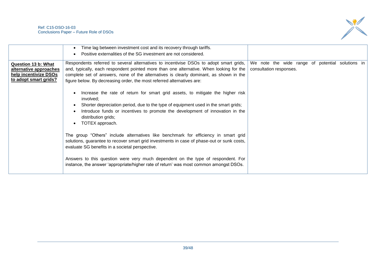

|                                                                                                        | Time lag between investment cost and its recovery through tariffs.<br>Positive externalities of the SG investment are not considered.                                                                                                                                                                                                                 |                                                                             |  |  |  |
|--------------------------------------------------------------------------------------------------------|-------------------------------------------------------------------------------------------------------------------------------------------------------------------------------------------------------------------------------------------------------------------------------------------------------------------------------------------------------|-----------------------------------------------------------------------------|--|--|--|
| <b>Question 13 b: What</b><br>alternative approaches<br>help incentivize DSOs<br>to adopt smart grids? | Respondents referred to several alternatives to incentivise DSOs to adopt smart grids,<br>and, typically, each respondent pointed more than one alternative. When looking for the<br>complete set of answers, none of the alternatives is clearly dominant, as shown in the<br>figure below. By decreasing order, the most referred alternatives are: | We note the wide range of potential solutions in<br>consultation responses. |  |  |  |
|                                                                                                        | Increase the rate of return for smart grid assets, to mitigate the higher risk<br>involved;<br>Shorter depreciation period, due to the type of equipment used in the smart grids;<br>Introduce funds or incentives to promote the development of innovation in the<br>distribution grids;<br>TOTEX approach.                                          |                                                                             |  |  |  |
|                                                                                                        | The group "Others" include alternatives like benchmark for efficiency in smart grid<br>solutions, guarantee to recover smart grid investments in case of phase-out or sunk costs,<br>evaluate SG benefits in a societal perspective.                                                                                                                  |                                                                             |  |  |  |
|                                                                                                        | Answers to this question were very much dependent on the type of respondent. For<br>instance, the answer 'appropriate/higher rate of return' was most common amongst DSOs.                                                                                                                                                                            |                                                                             |  |  |  |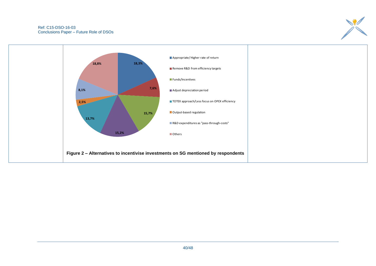

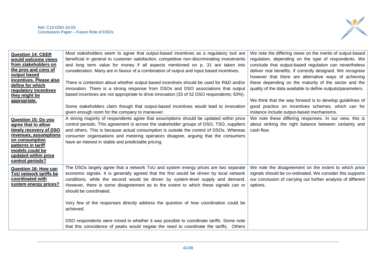

| <b>Question 14: CEER</b><br>would welcome views<br>from stakeholders on<br>the pros and cons of<br>output based<br>incentives. Please also<br>define for which<br>regulatory incentives<br>they might be<br>appropriate.<br>Question 15: Do you<br>agree that to allow<br>timely recovery of DSO<br>revenues, assumptions | Most stakeholders seem to agree that output-based incentives as a regulatory tool are<br>beneficial in general to customer satisfaction, competitive non-discriminating investments<br>and long term value for money if all aspects mentioned on p. 31 are taken into<br>consideration. Many are in favour of a combination of output and input based incentives.<br>There is contention about whether output-based incentives should be used for R&D and/or<br>innovation. There is a strong response from DSOs and DSO associations that output<br>based incentives are not appropriate to drive innovation (33 of 52 DSO respondents; 63%).<br>Some stakeholders claim though that output-based incentives would lead to innovation<br>given enough room for the company to maneuver.<br>A strong majority of respondents agree that assumptions should be updated within price<br>control periods. This agreement is across the stakeholder groups of DSO, TSO, suppliers<br>and others. This is because actual consumption is outside the control of DSOs. Whereas<br>consumer organisations and metering operators disagree, arguing that the consumers | We note the differing views on the merits of output-based<br>regulation, depending on the type of respondents. We<br>conclude that output-based regulation can nevertheless<br>deliver real benefits, if correctly designed. We recognise<br>however that there are alternative ways of achieving<br>these depending on the maturity of the sector and the<br>quality of the data available to define outputs/parameters.<br>We think that the way forward is to develop guidelines of<br>good practice on incentives schemes, which can for<br>instance include output-based mechanisms.<br>We note these differing responses. In our view, this is<br>about striking the right balance between certainty and<br>cash flow. |
|---------------------------------------------------------------------------------------------------------------------------------------------------------------------------------------------------------------------------------------------------------------------------------------------------------------------------|---------------------------------------------------------------------------------------------------------------------------------------------------------------------------------------------------------------------------------------------------------------------------------------------------------------------------------------------------------------------------------------------------------------------------------------------------------------------------------------------------------------------------------------------------------------------------------------------------------------------------------------------------------------------------------------------------------------------------------------------------------------------------------------------------------------------------------------------------------------------------------------------------------------------------------------------------------------------------------------------------------------------------------------------------------------------------------------------------------------------------------------------------------------|------------------------------------------------------------------------------------------------------------------------------------------------------------------------------------------------------------------------------------------------------------------------------------------------------------------------------------------------------------------------------------------------------------------------------------------------------------------------------------------------------------------------------------------------------------------------------------------------------------------------------------------------------------------------------------------------------------------------------|
| on consumption<br>patterns in tariff<br>models could be<br>updated within price<br>control periods?                                                                                                                                                                                                                       | have an interest in stable and predictable pricing.                                                                                                                                                                                                                                                                                                                                                                                                                                                                                                                                                                                                                                                                                                                                                                                                                                                                                                                                                                                                                                                                                                           |                                                                                                                                                                                                                                                                                                                                                                                                                                                                                                                                                                                                                                                                                                                              |
| <b>Question 16: How can</b><br>ToU network tariffs be<br>coordinated with<br>system energy prices?                                                                                                                                                                                                                        | The DSOs largely agree that a network ToU and system energy prices are two separate<br>economic signals. It is generally agreed that the first would be driven by local network<br>conditions, while the second would be driven by system-level supply and demand.<br>However, there is some disagreement as to the extent to which these signals can or<br>should be coordinated.<br>Very few of the responses directly address the question of how coordination could be<br>achieved.<br>DSO respondents were mixed in whether it was possible to coordinate tariffs. Some note                                                                                                                                                                                                                                                                                                                                                                                                                                                                                                                                                                             | We note the disagreement on the extent to which price<br>signals should be co-ordinated. We consider this supports<br>our conclusion of carrying out further analysis of different<br>options.                                                                                                                                                                                                                                                                                                                                                                                                                                                                                                                               |
|                                                                                                                                                                                                                                                                                                                           | that this coincidence of peaks would negate the need to coordinate the tariffs. Others                                                                                                                                                                                                                                                                                                                                                                                                                                                                                                                                                                                                                                                                                                                                                                                                                                                                                                                                                                                                                                                                        |                                                                                                                                                                                                                                                                                                                                                                                                                                                                                                                                                                                                                                                                                                                              |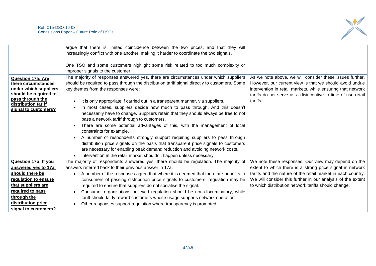

|                          | argue that there is limited coincidence between the two prices, and that they will<br>increasingly conflict with one another, making it harder to coordinate the two signals. |                                                              |
|--------------------------|-------------------------------------------------------------------------------------------------------------------------------------------------------------------------------|--------------------------------------------------------------|
|                          | One TSO and some customers highlight some risk related to too much complexity or<br>improper signals to the customer.                                                         |                                                              |
| <b>Question 17a: Are</b> | The majority of responses answered yes, there are circumstances under which suppliers                                                                                         | As we note above, we will consider these issues further.     |
| there circumstances      | should be required to pass through the distribution tariff signal directly to customers. Some                                                                                 | However, our current view is that we should avoid undue      |
| under which suppliers    | key themes from the responses were:                                                                                                                                           | intervention in retail markets, while ensuring that network  |
| should be required to    |                                                                                                                                                                               | tariffs do not serve as a disincentive to time of use retail |
| pass through the         | It is only appropriate if carried out in a transparent manner, via suppliers.                                                                                                 | tariffs.                                                     |
| distribution tariff      | In most cases, suppliers decide how much to pass through. And this doesn't                                                                                                    |                                                              |
| signal to customers?     | necessarily have to change. Suppliers retain that they should always be free to not                                                                                           |                                                              |
|                          | pass a network tariff through to customers.                                                                                                                                   |                                                              |
|                          | There are some potential advantages of this, with the management of local                                                                                                     |                                                              |
|                          | constraints for example.                                                                                                                                                      |                                                              |
|                          | A number of respondents strongly support requiring suppliers to pass through                                                                                                  |                                                              |
|                          | distribution price signals on the basis that transparent price signals to customers                                                                                           |                                                              |
|                          | are necessary for enabling peak demand reduction and avoiding network costs.                                                                                                  |                                                              |
|                          | Intervention in the retail market shouldn't happen unless necessary                                                                                                           |                                                              |
| Question 17b: If you     | The majority of respondents answered yes, there should be regulation. The majority of                                                                                         | We note these responses. Our view may depend on the          |
| answered yes to 17a,     | answers referred back to their previous answer in 17a.                                                                                                                        | extent to which there is a strong price signal in network    |
| should there be          | A number of the responses agree that where it is deemed that there are benefits to                                                                                            | tariffs and the nature of the retail market in each country. |
| regulation to ensure     | consumers of passing distribution price signals to customers, regulation may be                                                                                               | We will consider this further in our analysis of the extent  |
| that suppliers are       | required to ensure that suppliers do not socialise the signal.                                                                                                                | to which distribution network tariffs should change.         |
| required to pass         | Consumer organisations believed regulation should be non-discriminatory, while                                                                                                |                                                              |
| through the              | tariff should fairly reward customers whose usage supports network operation.                                                                                                 |                                                              |
| distribution price       | Other responses support regulation where transparency is promoted                                                                                                             |                                                              |
| signal to customers?     |                                                                                                                                                                               |                                                              |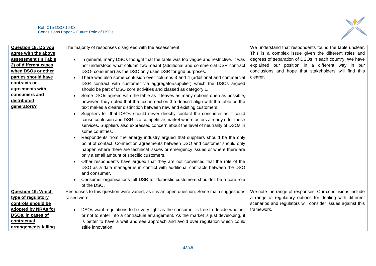

| <b>Question 18: Do you</b> | The majority of responses disagreed with the assessment.                                 | We understand that respondents found the table unclear.    |
|----------------------------|------------------------------------------------------------------------------------------|------------------------------------------------------------|
| agree with the above       |                                                                                          | This is a complex issue given the different roles and      |
| assessment (in Table       | In general, many DSOs thought that the table was too vague and restrictive. It was       | degrees of separation of DSOs in each country. We have     |
| 2) of different cases      | not understood what column two meant (additional and commercial DSR contract             | explained our position in a different way in our           |
| when DSOs or other         | DSO- consumer) as the DSO only uses DSR for grid purposes.                               | conclusions and hope that stakeholders will find this      |
| parties should have        | There was also some confusion over columns 3 and 4 (additional and commercial            | clearer.                                                   |
| contracts or               | DSR contract with customer via aggregator/supplier) which the DSOs argued                |                                                            |
| agreements with            | should be part of DSO core activities and classed as category 1.                         |                                                            |
| consumers and              | Some DSOs agreed with the table as it leaves as many options open as possible,           |                                                            |
| distributed                | however, they noted that the text in section 3.5 doesn't align with the table as the     |                                                            |
| generators?                | text makes a clearer distinction between new and existing customers.                     |                                                            |
|                            | Suppliers felt that DSOs should never directly contact the consumer as it could          |                                                            |
|                            | cause confusion and DSR is a competitive market where actors already offer these         |                                                            |
|                            | services. Suppliers also expressed concern about the level of neutrality of DSOs in      |                                                            |
|                            | some countries.                                                                          |                                                            |
|                            | Respondents from the energy industry argued that suppliers should be the only            |                                                            |
|                            | point of contact. Connection agreements between DSO and customer should only             |                                                            |
|                            | happen where there are technical issues or emergency issues or where there are           |                                                            |
|                            | only a small amount of specific customers.                                               |                                                            |
|                            | Other respondents have argued that they are not convinced that the role of the           |                                                            |
|                            | DSO as a data manager is in conflict with additional contracts between the DSO           |                                                            |
|                            | and consumer.                                                                            |                                                            |
|                            | Consumer organisations felt DSR for domestic customers shouldn't be a core role          |                                                            |
|                            | of the DSO.                                                                              |                                                            |
|                            |                                                                                          |                                                            |
| <b>Question 19: Which</b>  | Responses to this question were varied, as it is an open question. Some main suggestions | We note the range of responses. Our conclusions include    |
| type of regulatory         | raised were:                                                                             | a range of regulatory options for dealing with different   |
| controls should be         |                                                                                          | scenarios and regulators will consider issues against this |
| adopted by NRAs for        | DSOs want regulations to be very light as the consumer is free to decide whether         | framework.                                                 |
| DSOs, in cases of          | or not to enter into a contractual arrangement. As the market is just developing, it     |                                                            |
| contractual                | is better to have a wait and see approach and avoid over regulation which could          |                                                            |
| arrangements falling       | stifle innovation.                                                                       |                                                            |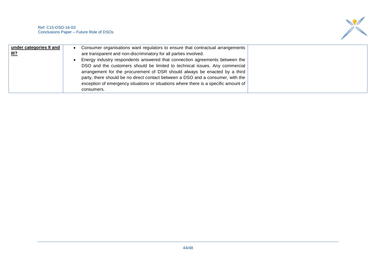

| under categories II and | Consumer organisations want regulators to ensure that contractual arrangements      |
|-------------------------|-------------------------------------------------------------------------------------|
| <u>III?</u>             | are transparent and non-discriminatory for all parties involved.                    |
|                         | Energy industry respondents answered that connection agreements between the         |
|                         | DSO and the customers should be limited to technical issues. Any commercial         |
|                         | arrangement for the procurement of DSR should always be enacted by a third          |
|                         | party, there should be no direct contact between a DSO and a consumer, with the     |
|                         | exception of emergency situations or situations where there is a specific amount of |
|                         | consumers.                                                                          |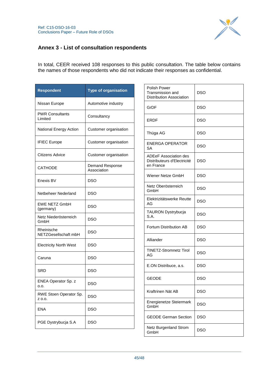

## <span id="page-44-0"></span>**Annex 3 - List of consultation respondents**

In total, CEER received 108 responses to this public consultation. The table below contains the names of those respondents who did not indicate their responses as confidential.

| <b>Respondent</b>                  | <b>Type of organisation</b>    |
|------------------------------------|--------------------------------|
| Nissan Europe                      | Automotive industry            |
| <b>PWR Consultants</b><br>Limited  | Consultancy                    |
| National Energy Action             | Customer organisation          |
| <b>IFIEC Europe</b>                | Customer organisation          |
| Citizens Advice                    | Customer organisation          |
| <b>CATHODE</b>                     | Demand Response<br>Association |
| Enexis BV                          | DSO                            |
| Netbeheer Nederland                | <b>DSO</b>                     |
| <b>EWE NETZ GmbH</b><br>(germany)  | DSO                            |
| Netz Niederösterreich<br>GmbH      | <b>DSO</b>                     |
| Rheinische<br>NETZGesellschaft mbH | DSO                            |
| <b>Electricity North West</b>      | DSO                            |
| Caruna                             | <b>DSO</b>                     |
| SRD                                | DSO                            |
| ENEA Operator Sp. z<br>o.o.        | DSO                            |
| RWE Stoen Operator Sp.<br>Z 0.0.   | <b>DSO</b>                     |
| ENA                                | DSO                            |
| PGE Dystrybucja S.A                | DSO                            |

| Polish Power<br>Transmission and<br><b>Distribution Association</b>      | DSO        |
|--------------------------------------------------------------------------|------------|
| GrDF                                                                     | DSO        |
| ERDF                                                                     | DSO        |
| Thüga AG                                                                 | DSO        |
| <b>ENERGA OPERATOR</b><br><b>SA</b>                                      | DSO        |
| <b>ADEeF Association des</b><br>Distributeurs d'Electricité<br>en France | DSO        |
| Wiener Netze GmbH                                                        | <b>DSO</b> |
| Netz Oberösterreich<br>GmbH                                              | DSO        |
| Elektrizitätswerke Reutte<br>AG                                          | <b>DSO</b> |
| <b>TAURON Dystrybucja</b><br>S.A.                                        | DSO        |
| Fortum Distribution AB                                                   | <b>DSO</b> |
| Alliander                                                                | DSO        |
| TINETZ-Stromnetz Tirol<br>AG                                             | DSO        |
| E.ON Distribuce, a.s.                                                    | DSO        |
| <b>GEODE</b>                                                             | DSO        |
| Kraftrinen Nät AB                                                        | <b>DSO</b> |
| Energienetze Steiermark<br>GmbH                                          | DSO        |
| <b>GEODE German Section</b>                                              | DSO        |
| Netz Burgenland Strom<br>GmbH                                            | <b>DSO</b> |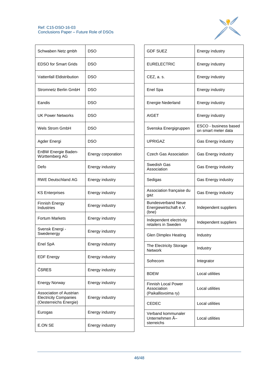

| Schwaben Netz gmbh                                                                | <b>DSO</b>         |
|-----------------------------------------------------------------------------------|--------------------|
| EDSO for Smart Grids                                                              | DSO                |
| Vattenfall Eldistribution                                                         | <b>DSO</b>         |
| Stromnetz Berlin GmbH                                                             | DSO                |
| Eandis                                                                            | DSO                |
| UK Power Networks                                                                 | DSO                |
| Wels Strom GmbH                                                                   | DSO                |
| Agder Energi                                                                      | <b>DSO</b>         |
| EnBW Energie Baden-<br>Württemberg AG                                             | Energy corporation |
| Defo                                                                              | Energy industry    |
| <b>RWE Deutschland AG</b>                                                         | Energy industry    |
| <b>KS Enterprises</b>                                                             | Energy industry    |
| <b>Finnish Energy</b><br>Industries                                               | Energy industry    |
| <b>Fortum Markets</b>                                                             | Energy industry    |
| Svensk Energi -<br>Swedenergy                                                     | Energy industry    |
| Enel SpA                                                                          | Energy industry    |
| <b>EDF Energy</b>                                                                 | Energy industry    |
| ČSRES                                                                             | Energy industry    |
| <b>Energy Norway</b>                                                              | Energy industry    |
| Association of Austrian<br><b>Electricity Companies</b><br>(Oesterreichs Energie) | Energy industry    |
| Eurogas                                                                           | Energy industry    |
| E.ON SE                                                                           | Energy industry    |

| <b>GDF SUFZ</b>                                              | Energy industry                              |
|--------------------------------------------------------------|----------------------------------------------|
| EURELECTRIC                                                  | Energy industry                              |
| CEZ, a. s.                                                   | Energy industry                              |
| Enel Spa                                                     | Energy industry                              |
| Energie Nederland                                            | Energy industry                              |
| <b>AIGET</b>                                                 | Energy industry                              |
| Svenska Energigruppen                                        | ESCO - business based<br>on smart meter data |
| <b>UPRIGAZ</b>                                               | <b>Gas Energy industry</b>                   |
| Czech Gas Association                                        | Gas Energy industry                          |
| Swedish Gas<br>Association                                   | Gas Energy industry                          |
| Sedigas                                                      | Gas Energy industry                          |
| Association française du<br>gaz                              | Gas Energy industry                          |
| <b>Bundesverband Neue</b><br>Energiewirtschaft e.V.<br>(bne) | Independent suppliers                        |
| Independent electricity<br>retailers in Sweden               | Independent suppliers                        |
| Glen Dimplex Heating                                         | Industry                                     |
| The Electricity Storage<br>Network                           | Industry                                     |
| Sofrecom                                                     | Integrator                                   |
| <b>BDEW</b>                                                  | Local utilities                              |
| Finnish Local Power<br>Association<br>(Paikallisvoima ry)    | Local utilities                              |
| <b>CEDEC</b>                                                 | Local utilities                              |
| Verband kommunaler<br>Unternehmen Ä-<br>sterreichs           | Local utilities                              |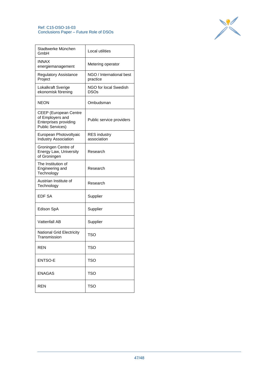

| Stadtwerke München<br>GmbH                                                                    | Local utilities                      |
|-----------------------------------------------------------------------------------------------|--------------------------------------|
| <b>INNAX</b><br>energiemanagement                                                             | Metering operator                    |
| <b>Regulatory Assistance</b><br>Project                                                       | NGO / International best<br>practice |
| Lokalkraft Sverige<br>ekonomisk förening                                                      | NGO for local Swedish<br><b>DSOs</b> |
| <b>NEON</b>                                                                                   | Ombudsman                            |
| CEEP (European Centre<br>of Employers and<br>Enterprises providing<br><b>Public Services)</b> | Public service providers             |
| European Photovoltyaic<br><b>Industry Association</b>                                         | <b>RES</b> industry<br>association   |
| Groningen Centre of<br>Energy Law, University<br>of Groningen                                 | Research                             |
| The Institution of<br>Engineering and<br>Technology                                           | Research                             |
| Austrian Institute of<br>Technology                                                           | Research                             |
| <b>EDF SA</b>                                                                                 | Supplier                             |
| Edison SpA                                                                                    | Supplier                             |
| Vattenfall AB                                                                                 | Supplier                             |
| <b>National Grid Electricity</b><br>Transmission                                              | TSO                                  |
| <b>REN</b>                                                                                    | TSO                                  |
| <b>ENTSO-E</b>                                                                                | <b>TSO</b>                           |
| <b>ENAGAS</b>                                                                                 | <b>TSO</b>                           |
| <b>REN</b>                                                                                    | TSO                                  |